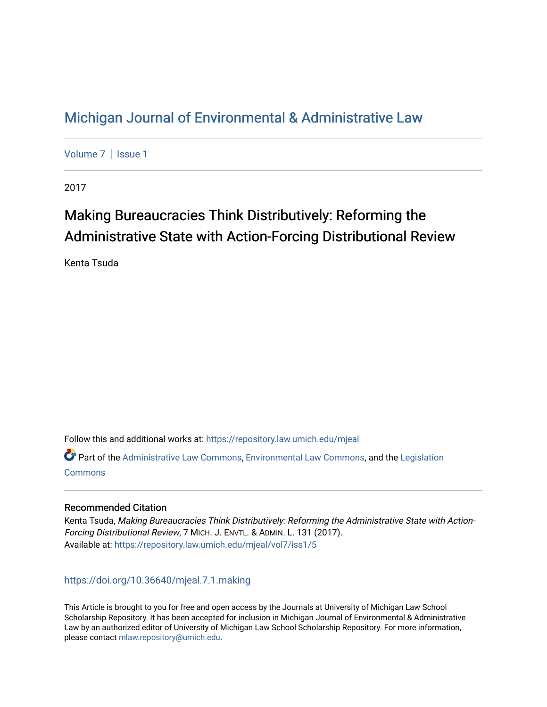# [Michigan Journal of Environmental & Administrative Law](https://repository.law.umich.edu/mjeal)

[Volume 7](https://repository.law.umich.edu/mjeal/vol7) | Issue 1

2017

# Making Bureaucracies Think Distributively: Reforming the Administrative State with Action-Forcing Distributional Review

Kenta Tsuda

Follow this and additional works at: [https://repository.law.umich.edu/mjeal](https://repository.law.umich.edu/mjeal?utm_source=repository.law.umich.edu%2Fmjeal%2Fvol7%2Fiss1%2F5&utm_medium=PDF&utm_campaign=PDFCoverPages)

Part of the [Administrative Law Commons,](http://network.bepress.com/hgg/discipline/579?utm_source=repository.law.umich.edu%2Fmjeal%2Fvol7%2Fiss1%2F5&utm_medium=PDF&utm_campaign=PDFCoverPages) [Environmental Law Commons](http://network.bepress.com/hgg/discipline/599?utm_source=repository.law.umich.edu%2Fmjeal%2Fvol7%2Fiss1%2F5&utm_medium=PDF&utm_campaign=PDFCoverPages), and the [Legislation](http://network.bepress.com/hgg/discipline/859?utm_source=repository.law.umich.edu%2Fmjeal%2Fvol7%2Fiss1%2F5&utm_medium=PDF&utm_campaign=PDFCoverPages)  **[Commons](http://network.bepress.com/hgg/discipline/859?utm_source=repository.law.umich.edu%2Fmjeal%2Fvol7%2Fiss1%2F5&utm_medium=PDF&utm_campaign=PDFCoverPages)** 

# Recommended Citation

Kenta Tsuda, Making Bureaucracies Think Distributively: Reforming the Administrative State with Action-Forcing Distributional Review, 7 MICH. J. ENVTL. & ADMIN. L. 131 (2017). Available at: [https://repository.law.umich.edu/mjeal/vol7/iss1/5](https://repository.law.umich.edu/mjeal/vol7/iss1/5?utm_source=repository.law.umich.edu%2Fmjeal%2Fvol7%2Fiss1%2F5&utm_medium=PDF&utm_campaign=PDFCoverPages)

<https://doi.org/10.36640/mjeal.7.1.making>

This Article is brought to you for free and open access by the Journals at University of Michigan Law School Scholarship Repository. It has been accepted for inclusion in Michigan Journal of Environmental & Administrative Law by an authorized editor of University of Michigan Law School Scholarship Repository. For more information, please contact [mlaw.repository@umich.edu.](mailto:mlaw.repository@umich.edu)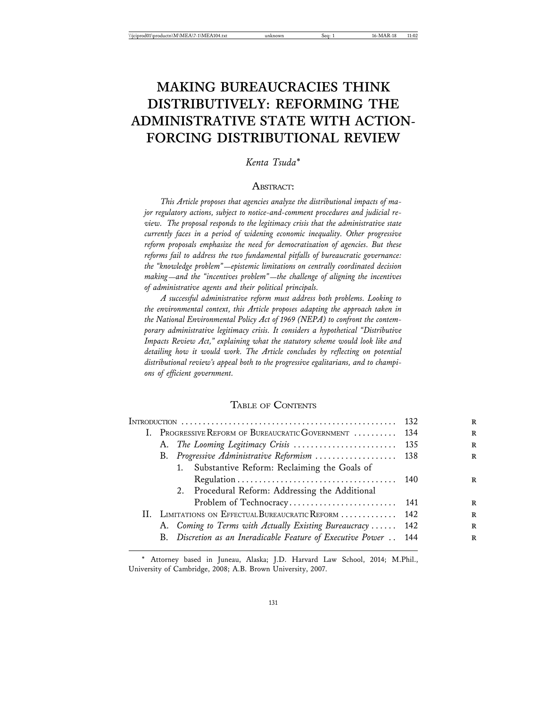# **MAKING BUREAUCRACIES THINK DISTRIBUTIVELY: REFORMING THE ADMINISTRATIVE STATE WITH ACTION-FORCING DISTRIBUTIONAL REVIEW**

*Kenta Tsuda*\*

### ABSTRACT:

*This Article proposes that agencies analyze the distributional impacts of major regulatory actions, subject to notice-and-comment procedures and judicial review. The proposal responds to the legitimacy crisis that the administrative state currently faces in a period of widening economic inequality. Other progressive reform proposals emphasize the need for democratization of agencies. But these reforms fail to address the two fundamental pitfalls of bureaucratic governance: the "knowledge problem"*—*epistemic limitations on centrally coordinated decision making*—*and the "incentives problem"*—*the challenge of aligning the incentives of administrative agents and their political principals.*

*A successful administrative reform must address both problems. Looking to the environmental context, this Article proposes adapting the approach taken in the National Environmental Policy Act of 1969 (NEPA) to confront the contemporary administrative legitimacy crisis. It considers a hypothetical "Distributive Impacts Review Act," explaining what the statutory scheme would look like and detailing how it would work. The Article concludes by reflecting on potential distributional review's appeal both to the progressive egalitarians, and to champions of efficient government.*

#### TABLE OF CONTENTS

|                                                                  | - 132 |
|------------------------------------------------------------------|-------|
| I. PROGRESSIVE REFORM OF BUREAUCRATIC GOVERNMENT  134            |       |
|                                                                  |       |
| B. Progressive Administrative Reformism  138                     |       |
| 1. Substantive Reform: Reclaiming the Goals of                   |       |
|                                                                  |       |
| 2. Procedural Reform: Addressing the Additional                  |       |
|                                                                  |       |
| II. LIMITATIONS ON EFFECTUAL BUREAUCRATIC REFORM  142            |       |
| A. Coming to Terms with Actually Existing Bureaucracy  142       |       |
| B. Discretion as an Ineradicable Feature of Executive Power  144 |       |
|                                                                  |       |

\* Attorney based in Juneau, Alaska; J.D. Harvard Law School, 2014; M.Phil., University of Cambridge, 2008; A.B. Brown University, 2007.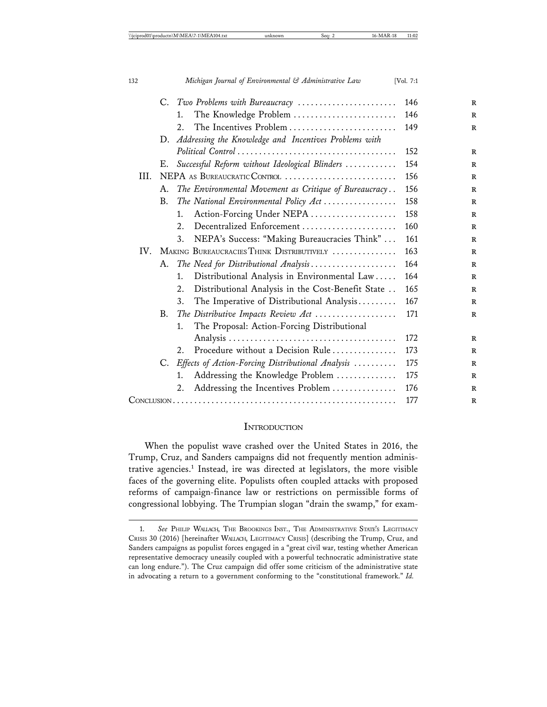|      | C. | Two Problems with Bureaucracy                           | 146 |
|------|----|---------------------------------------------------------|-----|
|      |    | The Knowledge Problem<br>1.                             | 146 |
|      |    | The Incentives Problem<br>2.                            | 149 |
|      | D. | Addressing the Knowledge and Incentives Problems with   |     |
|      |    |                                                         | 152 |
|      | Е. | Successful Reform without Ideological Blinders          | 154 |
| III. |    | NEPA AS BUREAUCRATIC CONTROL                            | 156 |
|      | А. | The Environmental Movement as Critique of Bureaucracy   | 156 |
|      | B. | The National Environmental Policy Act                   | 158 |
|      |    | Action-Forcing Under NEPA<br>1.                         | 158 |
|      |    | Decentralized Enforcement<br>2.                         | 160 |
|      |    | NEPA's Success: "Making Bureaucracies Think"<br>3.      | 161 |
| IV.  |    | MAKING BUREAUCRACIES THINK DISTRIBUTIVELY               | 163 |
|      | А. | The Need for Distributional Analysis                    | 164 |
|      |    | Distributional Analysis in Environmental Law<br>1.      | 164 |
|      |    | Distributional Analysis in the Cost-Benefit State<br>2. | 165 |
|      |    | The Imperative of Distributional Analysis<br>3.         | 167 |
|      | B. | The Distributive Impacts Review Act                     | 171 |
|      |    | The Proposal: Action-Forcing Distributional<br>1.       |     |
|      |    |                                                         | 172 |
|      |    | Procedure without a Decision Rule<br>2.                 | 173 |
|      | C. | Effects of Action-Forcing Distributional Analysis       | 175 |
|      |    | Addressing the Knowledge Problem<br>1.                  | 175 |
|      |    | Addressing the Incentives Problem<br>2.                 | 176 |
|      |    |                                                         | 177 |

## **INTRODUCTION**

When the populist wave crashed over the United States in 2016, the Trump, Cruz, and Sanders campaigns did not frequently mention administrative agencies.<sup>1</sup> Instead, ire was directed at legislators, the more visible faces of the governing elite. Populists often coupled attacks with proposed reforms of campaign-finance law or restrictions on permissible forms of congressional lobbying. The Trumpian slogan "drain the swamp," for exam-

<sup>1.</sup> *See* PHILIP WALLACH, THE BROOKINGS INST., THE ADMINISTRATIVE STATE'S LEGITIMACY CRISIS 30 (2016) [hereinafter WALLACH, LEGITIMACY CRISIS] (describing the Trump, Cruz, and Sanders campaigns as populist forces engaged in a "great civil war, testing whether American representative democracy uneasily coupled with a powerful technocratic administrative state can long endure."). The Cruz campaign did offer some criticism of the administrative state in advocating a return to a government conforming to the "constitutional framework." *Id.*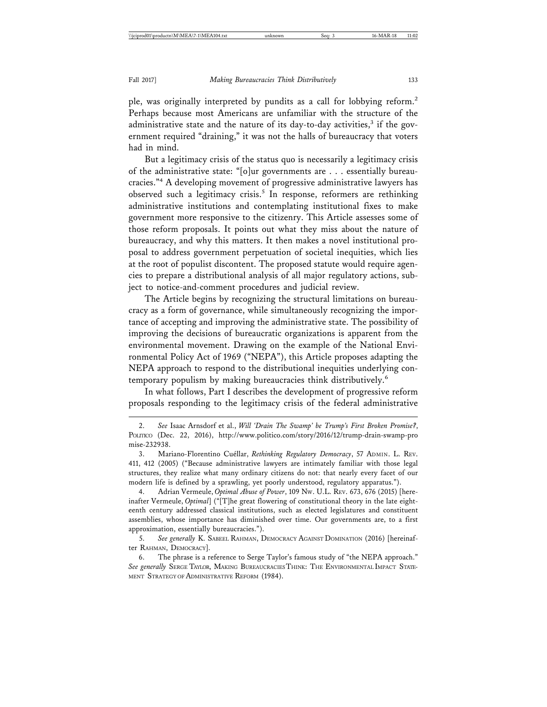ple, was originally interpreted by pundits as a call for lobbying reform.<sup>2</sup> Perhaps because most Americans are unfamiliar with the structure of the administrative state and the nature of its day-to-day activities,<sup>3</sup> if the government required "draining," it was not the halls of bureaucracy that voters had in mind.

But a legitimacy crisis of the status quo is necessarily a legitimacy crisis of the administrative state: "[o]ur governments are . . . essentially bureaucracies."4 A developing movement of progressive administrative lawyers has observed such a legitimacy crisis.<sup>5</sup> In response, reformers are rethinking administrative institutions and contemplating institutional fixes to make government more responsive to the citizenry. This Article assesses some of those reform proposals. It points out what they miss about the nature of bureaucracy, and why this matters. It then makes a novel institutional proposal to address government perpetuation of societal inequities, which lies at the root of populist discontent. The proposed statute would require agencies to prepare a distributional analysis of all major regulatory actions, subject to notice-and-comment procedures and judicial review.

The Article begins by recognizing the structural limitations on bureaucracy as a form of governance, while simultaneously recognizing the importance of accepting and improving the administrative state. The possibility of improving the decisions of bureaucratic organizations is apparent from the environmental movement. Drawing on the example of the National Environmental Policy Act of 1969 ("NEPA"), this Article proposes adapting the NEPA approach to respond to the distributional inequities underlying contemporary populism by making bureaucracies think distributively.<sup>6</sup>

In what follows, Part I describes the development of progressive reform proposals responding to the legitimacy crisis of the federal administrative

5. See generally K. SABEEL RAHMAN, DEMOCRACY AGAINST DOMINATION (2016) [hereinafter RAHMAN, DEMOCRACY].

<sup>2.</sup> *See* Isaac Arnsdorf et al., *Will 'Drain The Swamp' be Trump's First Broken Promise?*, POLITICO (Dec. 22, 2016), http://www.politico.com/story/2016/12/trump-drain-swamp-pro mise-232938.

<sup>3.</sup> Mariano-Florentino Cuéllar, *Rethinking Regulatory Democracy*, 57 ADMIN. L. REV. 411, 412 (2005) ("Because administrative lawyers are intimately familiar with those legal structures, they realize what many ordinary citizens do not: that nearly every facet of our modern life is defined by a sprawling, yet poorly understood, regulatory apparatus.").

<sup>4.</sup> Adrian Vermeule, *Optimal Abuse of Power*, 109 NW. U.L. REV. 673, 676 (2015) [hereinafter Vermeule, *Optimal*] ("[T]he great flowering of constitutional theory in the late eighteenth century addressed classical institutions, such as elected legislatures and constituent assemblies, whose importance has diminished over time. Our governments are, to a first approximation, essentially bureaucracies.").

<sup>6.</sup> The phrase is a reference to Serge Taylor's famous study of "the NEPA approach." *See generally* SERGE TAYLOR, MAKING BUREAUCRACIES THINK: THE ENVIRONMENTAL IMPACT STATE-MENT STRATEGY OF ADMINISTRATIVE REFORM (1984).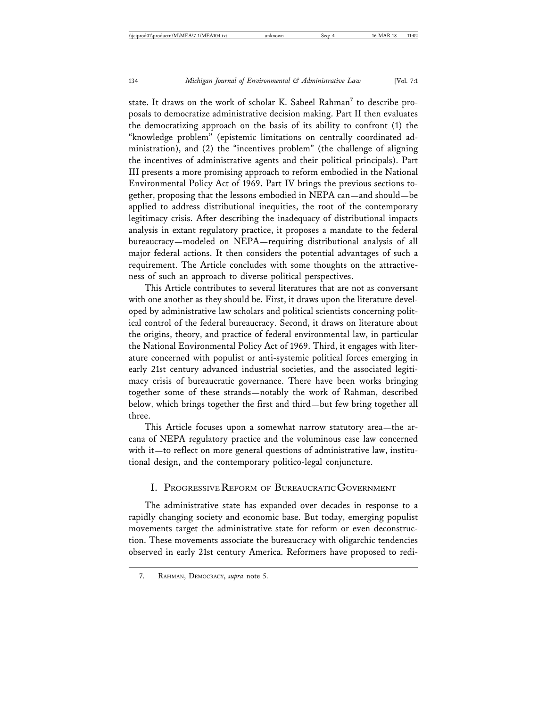state. It draws on the work of scholar K. Sabeel Rahman<sup>7</sup> to describe proposals to democratize administrative decision making. Part II then evaluates the democratizing approach on the basis of its ability to confront (1) the "knowledge problem" (epistemic limitations on centrally coordinated administration), and (2) the "incentives problem" (the challenge of aligning the incentives of administrative agents and their political principals). Part III presents a more promising approach to reform embodied in the National Environmental Policy Act of 1969. Part IV brings the previous sections together, proposing that the lessons embodied in NEPA can—and should—be applied to address distributional inequities, the root of the contemporary legitimacy crisis. After describing the inadequacy of distributional impacts analysis in extant regulatory practice, it proposes a mandate to the federal bureaucracy—modeled on NEPA—requiring distributional analysis of all major federal actions. It then considers the potential advantages of such a requirement. The Article concludes with some thoughts on the attractiveness of such an approach to diverse political perspectives.

This Article contributes to several literatures that are not as conversant with one another as they should be. First, it draws upon the literature developed by administrative law scholars and political scientists concerning political control of the federal bureaucracy. Second, it draws on literature about the origins, theory, and practice of federal environmental law, in particular the National Environmental Policy Act of 1969. Third, it engages with literature concerned with populist or anti-systemic political forces emerging in early 21st century advanced industrial societies, and the associated legitimacy crisis of bureaucratic governance. There have been works bringing together some of these strands—notably the work of Rahman, described below, which brings together the first and third—but few bring together all three.

This Article focuses upon a somewhat narrow statutory area—the arcana of NEPA regulatory practice and the voluminous case law concerned with it—to reflect on more general questions of administrative law, institutional design, and the contemporary politico-legal conjuncture.

#### I. PROGRESSIVE REFORM OF BUREAUCRATIC GOVERNMENT

The administrative state has expanded over decades in response to a rapidly changing society and economic base. But today, emerging populist movements target the administrative state for reform or even deconstruction. These movements associate the bureaucracy with oligarchic tendencies observed in early 21st century America. Reformers have proposed to redi-

<sup>7.</sup> RAHMAN, DEMOCRACY, *supra* note 5.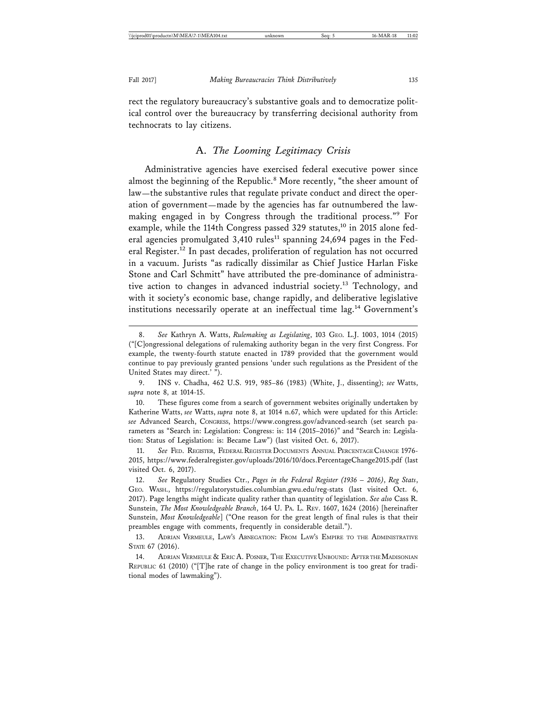rect the regulatory bureaucracy's substantive goals and to democratize political control over the bureaucracy by transferring decisional authority from technocrats to lay citizens.

#### A. *The Looming Legitimacy Crisis*

Administrative agencies have exercised federal executive power since almost the beginning of the Republic.<sup>8</sup> More recently, "the sheer amount of law—the substantive rules that regulate private conduct and direct the operation of government—made by the agencies has far outnumbered the lawmaking engaged in by Congress through the traditional process."<sup>9</sup> For example, while the 114th Congress passed 329 statutes,<sup>10</sup> in 2015 alone federal agencies promulgated  $3,410$  rules<sup>11</sup> spanning 24,694 pages in the Federal Register.<sup>12</sup> In past decades, proliferation of regulation has not occurred in a vacuum. Jurists "as radically dissimilar as Chief Justice Harlan Fiske Stone and Carl Schmitt" have attributed the pre-dominance of administrative action to changes in advanced industrial society.<sup>13</sup> Technology, and with it society's economic base, change rapidly, and deliberative legislative institutions necessarily operate at an ineffectual time lag.<sup>14</sup> Government's

<sup>8.</sup> *See* Kathryn A. Watts, *Rulemaking as Legislating*, 103 GEO. L.J. 1003, 1014 (2015) ("[C]ongressional delegations of rulemaking authority began in the very first Congress. For example, the twenty-fourth statute enacted in 1789 provided that the government would continue to pay previously granted pensions 'under such regulations as the President of the United States may direct.' ").

<sup>9.</sup> INS v. Chadha, 462 U.S. 919, 985–86 (1983) (White, J., dissenting); *see* Watts, *supra* note 8, at 1014-15.

<sup>10.</sup> These figures come from a search of government websites originally undertaken by Katherine Watts, *see* Watts, *supra* note 8, at 1014 n.67, which were updated for this Article: *see* Advanced Search, CONGRESS, https://www.congress.gov/advanced-search (set search parameters as "Search in: Legislation: Congress: is: 114 (2015–2016)" and "Search in: Legislation: Status of Legislation: is: Became Law") (last visited Oct. 6, 2017).

<sup>11.</sup> *See* FED. REGISTER, FEDERAL REGISTER DOCUMENTS ANNUAL PERCENTAGE CHANGE 1976- 2015, https://www.federalregister.gov/uploads/2016/10/docs.PercentageChange2015.pdf (last visited Oct. 6, 2017).

<sup>12.</sup> *See* Regulatory Studies Ctr., *Pages in the Federal Register (1936 – 2016)*, *Reg Stats*, GEO. WASH., https://regulatorystudies.columbian.gwu.edu/reg-stats (last visited Oct. 6, 2017). Page lengths might indicate quality rather than quantity of legislation. *See also* Cass R. Sunstein, *The Most Knowledgeable Branch*, 164 U. PA. L. REV. 1607, 1624 (2016) [hereinafter Sunstein, *Most Knowledgeable*] ("One reason for the great length of final rules is that their preambles engage with comments, frequently in considerable detail.").

<sup>13.</sup> ADRIAN VERMEULE, LAW'S ABNEGATION: FROM LAW'S EMPIRE TO THE ADMINISTRATIVE STATE 67 (2016).

<sup>14.</sup> ADRIAN VERMEULE & ERIC A. POSNER, THE EXECUTIVE UNBOUND: AFTER THE MADISONIAN REPUBLIC 61 (2010) ("[T]he rate of change in the policy environment is too great for traditional modes of lawmaking").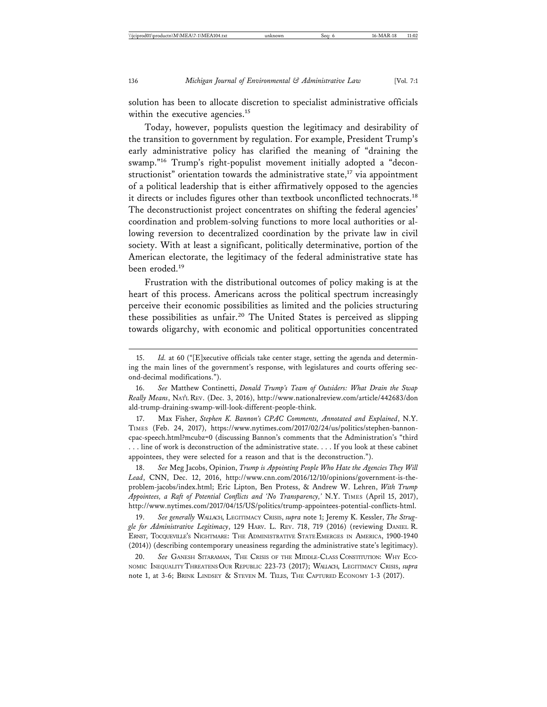solution has been to allocate discretion to specialist administrative officials within the executive agencies.<sup>15</sup>

Today, however, populists question the legitimacy and desirability of the transition to government by regulation. For example, President Trump's early administrative policy has clarified the meaning of "draining the swamp."16 Trump's right-populist movement initially adopted a "deconstructionist" orientation towards the administrative state, $17$  via appointment of a political leadership that is either affirmatively opposed to the agencies it directs or includes figures other than textbook unconflicted technocrats.<sup>18</sup> The deconstructionist project concentrates on shifting the federal agencies' coordination and problem-solving functions to more local authorities or allowing reversion to decentralized coordination by the private law in civil society. With at least a significant, politically determinative, portion of the American electorate, the legitimacy of the federal administrative state has been eroded.<sup>19</sup>

Frustration with the distributional outcomes of policy making is at the heart of this process. Americans across the political spectrum increasingly perceive their economic possibilities as limited and the policies structuring these possibilities as unfair.20 The United States is perceived as slipping towards oligarchy, with economic and political opportunities concentrated

17. Max Fisher, *Stephen K. Bannon's CPAC Comments, Annotated and Explained*, N.Y. TIMES (Feb. 24, 2017), https://www.nytimes.com/2017/02/24/us/politics/stephen-bannoncpac-speech.html?mcubz=0 (discussing Bannon's comments that the Administration's "third . . . line of work is deconstruction of the administrative state. . . . If you look at these cabinet appointees, they were selected for a reason and that is the deconstruction.").

18. *See* Meg Jacobs, Opinion, *Trump is Appointing People Who Hate the Agencies They Will Lead*, CNN, Dec. 12, 2016, http://www.cnn.com/2016/12/10/opinions/government-is-theproblem-jacobs/index.html; Eric Lipton, Ben Protess, & Andrew W. Lehren, *With Trump Appointees, a Raft of Potential Conflicts and 'No Transparency,'* N.Y. TIMES (April 15, 2017), http://www.nytimes.com/2017/04/15/US/politics/trump-appointees-potential-conflicts-html.

19. *See generally* WALLACH, LEGITIMACY CRISIS, *supra* note 1; Jeremy K. Kessler, *The Struggle for Administrative Legitimacy*, 129 HARV. L. REV. 718, 719 (2016) (reviewing DANIEL R. ERNST, TOCQUEVILLE'S NIGHTMARE: THE ADMINISTRATIVE STATE EMERGES IN AMERICA, 1900-1940 (2014)) (describing contemporary uneasiness regarding the administrative state's legitimacy).

20. *See* GANESH SITARAMAN, THE CRISIS OF THE MIDDLE-CLASS CONSTITUTION: WHY ECO-NOMIC INEQUALITY THREATENS OUR REPUBLIC 223-73 (2017); WALLACH, LEGITIMACY CRISIS, *supra* note 1, at 3-6; BRINK LINDSEY & STEVEN M. TELES, THE CAPTURED ECONOMY 1-3 (2017).

<sup>15.</sup> *Id.* at 60 ("[E]xecutive officials take center stage, setting the agenda and determining the main lines of the government's response, with legislatures and courts offering second-decimal modifications.").

<sup>16.</sup> *See* Matthew Continetti, *Donald Trump's Team of Outsiders: What Drain the Swap Really Means*, NAT'L REV. (Dec. 3, 2016), http://www.nationalreview.com/article/442683/don ald-trump-draining-swamp-will-look-different-people-think.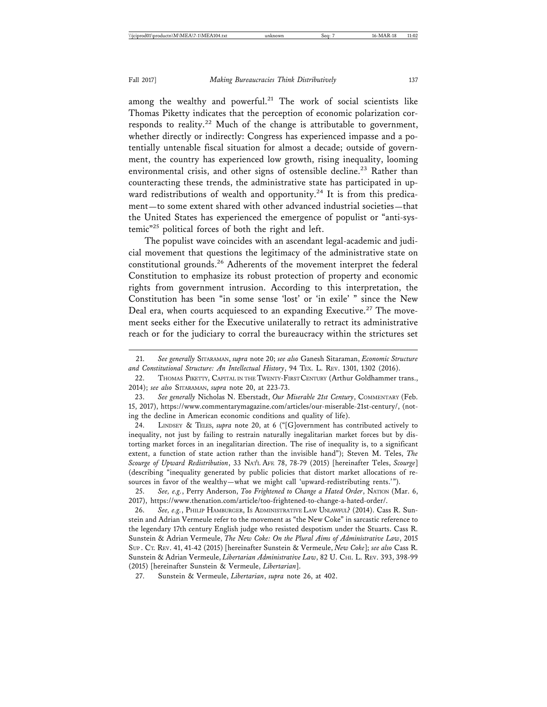among the wealthy and powerful.<sup>21</sup> The work of social scientists like Thomas Piketty indicates that the perception of economic polarization corresponds to reality.<sup>22</sup> Much of the change is attributable to government, whether directly or indirectly: Congress has experienced impasse and a potentially untenable fiscal situation for almost a decade; outside of government, the country has experienced low growth, rising inequality, looming environmental crisis, and other signs of ostensible decline.<sup>23</sup> Rather than counteracting these trends, the administrative state has participated in upward redistributions of wealth and opportunity.<sup>24</sup> It is from this predicament—to some extent shared with other advanced industrial societies—that the United States has experienced the emergence of populist or "anti-systemic"25 political forces of both the right and left.

The populist wave coincides with an ascendant legal-academic and judicial movement that questions the legitimacy of the administrative state on constitutional grounds.<sup>26</sup> Adherents of the movement interpret the federal Constitution to emphasize its robust protection of property and economic rights from government intrusion. According to this interpretation, the Constitution has been "in some sense 'lost' or 'in exile' " since the New Deal era, when courts acquiesced to an expanding Executive.<sup>27</sup> The movement seeks either for the Executive unilaterally to retract its administrative reach or for the judiciary to corral the bureaucracy within the strictures set

24. LINDSEY & TELES, *supra* note 20, at 6 ("[G]overnment has contributed actively to inequality, not just by failing to restrain naturally inegalitarian market forces but by distorting market forces in an inegalitarian direction. The rise of inequality is, to a significant extent, a function of state action rather than the invisible hand"); Steven M. Teles, *The Scourge of Upward Redistribution*, 33 NAT'L AFF. 78, 78-79 (2015) [hereinafter Teles, *Scourge*] (describing "inequality generated by public policies that distort market allocations of resources in favor of the wealthy—what we might call 'upward-redistributing rents.'").

<sup>21.</sup> *See generally* SITARAMAN, *supra* note 20; *see also* Ganesh Sitaraman, *Economic Structure and Constitutional Structure: An Intellectual History*, 94 TEX. L. REV. 1301, 1302 (2016).

<sup>22.</sup> THOMAS PIKETTY, CAPITAL IN THE TWENTY-FIRST CENTURY (Arthur Goldhammer trans., 2014); *see also* SITARAMAN, *supra* note 20, at 223-73.

<sup>23.</sup> See generally Nicholas N. Eberstadt, Our Miserable 21st Century, COMMENTARY (Feb. 15, 2017), https://www.commentarymagazine.com/articles/our-miserable-21st-century/, (noting the decline in American economic conditions and quality of life).

<sup>25.</sup> *See, e.g.*, Perry Anderson, *Too Frightened to Change a Hated Order*, NATION (Mar. 6, 2017), https://www.thenation.com/article/too-frightened-to-change-a-hated-order/.

<sup>26.</sup> *See, e.g.*, PHILIP HAMBURGER, IS ADMINISTRATIVE LAW UNLAWFUL? (2014). Cass R. Sunstein and Adrian Vermeule refer to the movement as "the New Coke" in sarcastic reference to the legendary 17th century English judge who resisted despotism under the Stuarts. Cass R. Sunstein & Adrian Vermeule, *The New Coke: On the Plural Aims of Administrative Law*, 2015 SUP . CT. REV. 41, 41-42 (2015) [hereinafter Sunstein & Vermeule, *New Coke*]; *see also* Cass R. Sunstein & Adrian Vermeule, *Libertarian Administrative Law*, 82 U. CHI. L. REV. 393, 398-99 (2015) [hereinafter Sunstein & Vermeule, *Libertarian*].

<sup>27.</sup> Sunstein & Vermeule, *Libertarian*, *supra* note 26, at 402.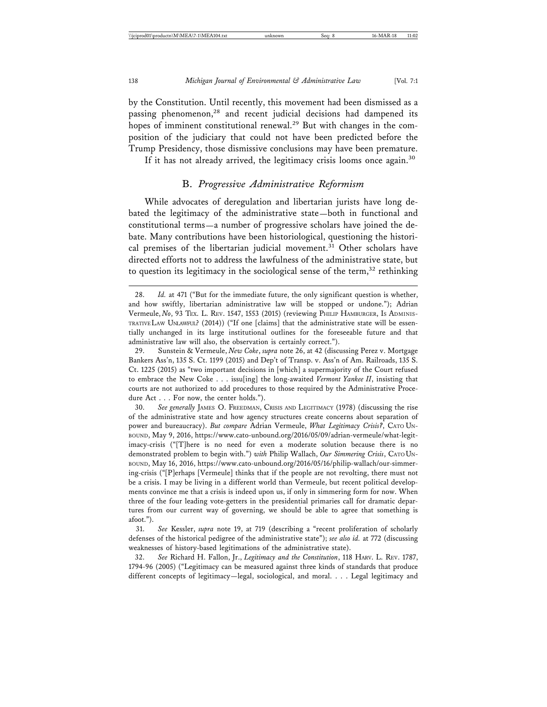by the Constitution. Until recently, this movement had been dismissed as a passing phenomenon,28 and recent judicial decisions had dampened its hopes of imminent constitutional renewal.<sup>29</sup> But with changes in the composition of the judiciary that could not have been predicted before the Trump Presidency, those dismissive conclusions may have been premature.

If it has not already arrived, the legitimacy crisis looms once again.<sup>30</sup>

# B. *Progressive Administrative Reformism*

While advocates of deregulation and libertarian jurists have long debated the legitimacy of the administrative state—both in functional and constitutional terms—a number of progressive scholars have joined the debate. Many contributions have been historiological, questioning the historical premises of the libertarian judicial movement.<sup>31</sup> Other scholars have directed efforts not to address the lawfulness of the administrative state, but to question its legitimacy in the sociological sense of the term,<sup>32</sup> rethinking

30. *See generally* JAMES O. FREEDMAN, CRISIS AND LEGITIMACY (1978) (discussing the rise of the administrative state and how agency structures create concerns about separation of power and bureaucracy). *But compare* Adrian Vermeule, *What Legitimacy Crisis?*, CATO UN-BOUND, May 9, 2016, https://www.cato-unbound.org/2016/05/09/adrian-vermeule/what-legitimacy-crisis ("[T]here is no need for even a moderate solution because there is no demonstrated problem to begin with.") *with* Philip Wallach, *Our Simmering Crisis*, CATO UN-BOUND, May 16, 2016, https://www.cato-unbound.org/2016/05/16/philip-wallach/our-simmering-crisis ("[P]erhaps [Vermeule] thinks that if the people are not revolting, there must not be a crisis. I may be living in a different world than Vermeule, but recent political developments convince me that a crisis is indeed upon us, if only in simmering form for now. When three of the four leading vote-getters in the presidential primaries call for dramatic departures from our current way of governing, we should be able to agree that something is afoot.").

31. *See* Kessler, *supra* note 19, at 719 (describing a "recent proliferation of scholarly defenses of the historical pedigree of the administrative state"); *see also id.* at 772 (discussing weaknesses of history-based legitimations of the administrative state).

32. *See* Richard H. Fallon, Jr., *Legitimacy and the Constitution*, 118 HARV. L. REV. 1787, 1794-96 (2005) ("Legitimacy can be measured against three kinds of standards that produce different concepts of legitimacy—legal, sociological, and moral. . . . Legal legitimacy and

<sup>28.</sup> *Id.* at 471 ("But for the immediate future, the only significant question is whether, and how swiftly, libertarian administrative law will be stopped or undone."); Adrian Vermeule, *No*, 93 TEX. L. REV. 1547, 1553 (2015) (reviewing PHILIP HAMBURGER, IS ADMINIS-TRATIVE LAW UNLAWFUL? (2014)) ("If one [claims] that the administrative state will be essentially unchanged in its large institutional outlines for the foreseeable future and that administrative law will also, the observation is certainly correct.").

<sup>29.</sup> Sunstein & Vermeule, *New Coke*, *supra* note 26, at 42 (discussing Perez v. Mortgage Bankers Ass'n, 135 S. Ct. 1199 (2015) and Dep't of Transp. v. Ass'n of Am. Railroads, 135 S. Ct. 1225 (2015) as "two important decisions in [which] a supermajority of the Court refused to embrace the New Coke . . . issu[ing] the long-awaited *Vermont Yankee II*, insisting that courts are not authorized to add procedures to those required by the Administrative Procedure Act . . . For now, the center holds.").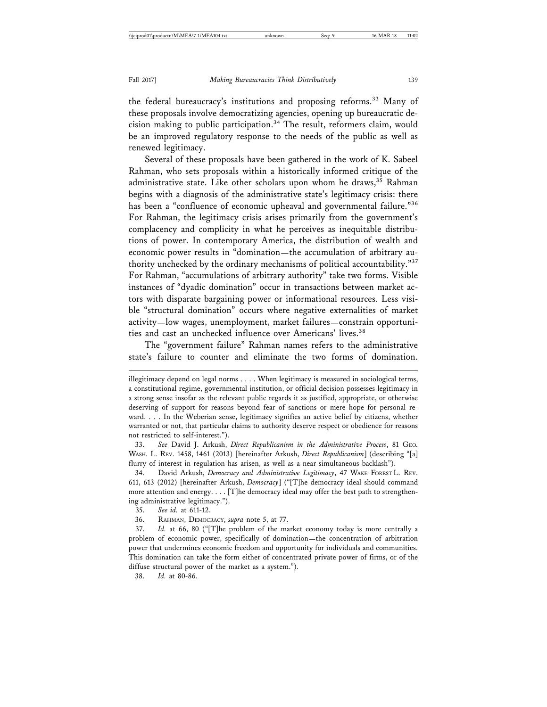the federal bureaucracy's institutions and proposing reforms.<sup>33</sup> Many of these proposals involve democratizing agencies, opening up bureaucratic decision making to public participation.34 The result, reformers claim, would be an improved regulatory response to the needs of the public as well as renewed legitimacy.

Several of these proposals have been gathered in the work of K. Sabeel Rahman, who sets proposals within a historically informed critique of the administrative state. Like other scholars upon whom he draws, $35$  Rahman begins with a diagnosis of the administrative state's legitimacy crisis: there has been a "confluence of economic upheaval and governmental failure."<sup>36</sup> For Rahman, the legitimacy crisis arises primarily from the government's complacency and complicity in what he perceives as inequitable distributions of power. In contemporary America, the distribution of wealth and economic power results in "domination—the accumulation of arbitrary authority unchecked by the ordinary mechanisms of political accountability."37 For Rahman, "accumulations of arbitrary authority" take two forms. Visible instances of "dyadic domination" occur in transactions between market actors with disparate bargaining power or informational resources. Less visible "structural domination" occurs where negative externalities of market activity—low wages, unemployment, market failures—constrain opportunities and cast an unchecked influence over Americans' lives.<sup>38</sup>

The "government failure" Rahman names refers to the administrative state's failure to counter and eliminate the two forms of domination.

33. *See* David J. Arkush, *Direct Republicanism in the Administrative Process*, 81 GEO. WASH. L. REV. 1458, 1461 (2013) [hereinafter Arkush, *Direct Republicanism*] (describing "[a] flurry of interest in regulation has arisen, as well as a near-simultaneous backlash").

34. David Arkush, *Democracy and Administrative Legitimacy*, 47 WAKE FOREST L. REV. 611, 613 (2012) [hereinafter Arkush, *Democracy*] ("[T]he democracy ideal should command more attention and energy. . . . [T]he democracy ideal may offer the best path to strengthening administrative legitimacy.").

36. RAHMAN, DEMOCRACY, *supra* note 5, at 77.

37. *Id.* at 66, 80 ("[T]he problem of the market economy today is more centrally a problem of economic power, specifically of domination—the concentration of arbitration power that undermines economic freedom and opportunity for individuals and communities. This domination can take the form either of concentrated private power of firms, or of the diffuse structural power of the market as a system.").

38. *Id.* at 80-86.

illegitimacy depend on legal norms . . . . When legitimacy is measured in sociological terms, a constitutional regime, governmental institution, or official decision possesses legitimacy in a strong sense insofar as the relevant public regards it as justified, appropriate, or otherwise deserving of support for reasons beyond fear of sanctions or mere hope for personal reward. . . . In the Weberian sense, legitimacy signifies an active belief by citizens, whether warranted or not, that particular claims to authority deserve respect or obedience for reasons not restricted to self-interest.").

<sup>35.</sup> *See id.* at 611-12.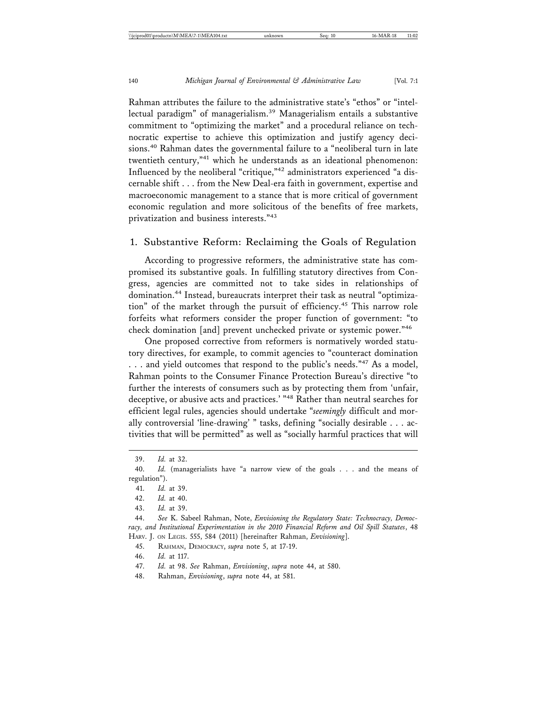Rahman attributes the failure to the administrative state's "ethos" or "intellectual paradigm" of managerialism.39 Managerialism entails a substantive commitment to "optimizing the market" and a procedural reliance on technocratic expertise to achieve this optimization and justify agency decisions.40 Rahman dates the governmental failure to a "neoliberal turn in late twentieth century,"<sup>41</sup> which he understands as an ideational phenomenon: Influenced by the neoliberal "critique,"42 administrators experienced "a discernable shift . . . from the New Deal-era faith in government, expertise and macroeconomic management to a stance that is more critical of government economic regulation and more solicitous of the benefits of free markets, privatization and business interests."<sup>43</sup>

#### 1. Substantive Reform: Reclaiming the Goals of Regulation

According to progressive reformers, the administrative state has compromised its substantive goals. In fulfilling statutory directives from Congress, agencies are committed not to take sides in relationships of domination.44 Instead, bureaucrats interpret their task as neutral "optimization" of the market through the pursuit of efficiency.45 This narrow role forfeits what reformers consider the proper function of government: "to check domination [and] prevent unchecked private or systemic power."<sup>46</sup>

One proposed corrective from reformers is normatively worded statutory directives, for example, to commit agencies to "counteract domination ... and yield outcomes that respond to the public's needs."<sup>47</sup> As a model, Rahman points to the Consumer Finance Protection Bureau's directive "to further the interests of consumers such as by protecting them from 'unfair, deceptive, or abusive acts and practices.' "48 Rather than neutral searches for efficient legal rules, agencies should undertake "*seemingly* difficult and morally controversial 'line-drawing' " tasks, defining "socially desirable . . . activities that will be permitted" as well as "socially harmful practices that will

41. *Id.* at 39.

42. *Id.* at 40.

43. *Id.* at 39.

45. RAHMAN, DEMOCRACY, *supra* note 5, at 17-19.

46. *Id.* at 117.

47. *Id.* at 98. *See* Rahman, *Envisioning*, *supra* note 44, at 580.

48. Rahman, *Envisioning*, *supra* note 44, at 581.

<sup>39.</sup> *Id.* at 32.

<sup>40.</sup> *Id.* (managerialists have "a narrow view of the goals . . . and the means of regulation").

<sup>44.</sup> *See* K. Sabeel Rahman, Note, *Envisioning the Regulatory State: Technocracy, Democracy, and Institutional Experimentation in the 2010 Financial Reform and Oil Spill Statutes*, 48 HARV. J. ON LEGIS. 555, 584 (2011) [hereinafter Rahman, *Envisioning*].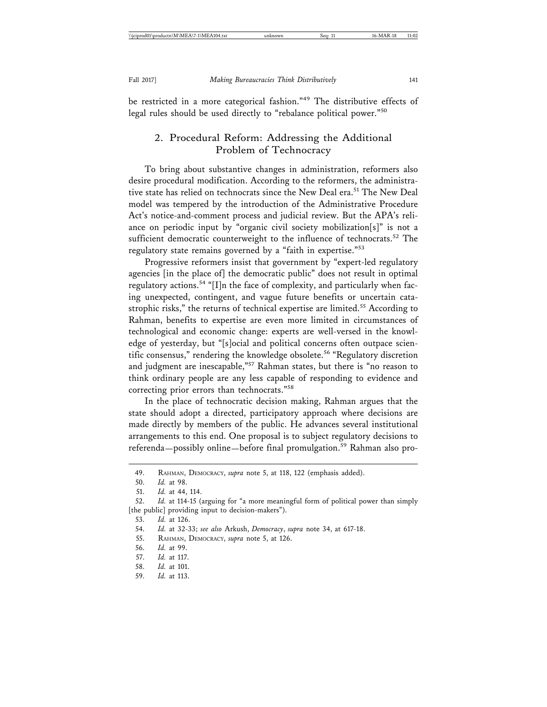be restricted in a more categorical fashion."49 The distributive effects of legal rules should be used directly to "rebalance political power."<sup>50</sup>

# 2. Procedural Reform: Addressing the Additional Problem of Technocracy

To bring about substantive changes in administration, reformers also desire procedural modification. According to the reformers, the administrative state has relied on technocrats since the New Deal era.<sup>51</sup> The New Deal model was tempered by the introduction of the Administrative Procedure Act's notice-and-comment process and judicial review. But the APA's reliance on periodic input by "organic civil society mobilization[s]" is not a sufficient democratic counterweight to the influence of technocrats.<sup>52</sup> The regulatory state remains governed by a "faith in expertise."<sup>53</sup>

Progressive reformers insist that government by "expert-led regulatory agencies [in the place of] the democratic public" does not result in optimal regulatory actions.<sup>54</sup> "[I]n the face of complexity, and particularly when facing unexpected, contingent, and vague future benefits or uncertain catastrophic risks," the returns of technical expertise are limited.<sup>55</sup> According to Rahman, benefits to expertise are even more limited in circumstances of technological and economic change: experts are well-versed in the knowledge of yesterday, but "[s]ocial and political concerns often outpace scientific consensus," rendering the knowledge obsolete.<sup>56</sup> "Regulatory discretion and judgment are inescapable,"<sup>57</sup> Rahman states, but there is "no reason to think ordinary people are any less capable of responding to evidence and correcting prior errors than technocrats."<sup>58</sup>

In the place of technocratic decision making, Rahman argues that the state should adopt a directed, participatory approach where decisions are made directly by members of the public. He advances several institutional arrangements to this end. One proposal is to subject regulatory decisions to referenda—possibly online—before final promulgation.<sup>59</sup> Rahman also pro-

- 55. RAHMAN, DEMOCRACY, *supra* note 5, at 126.
- 56. *Id.* at 99.
- 57. *Id.* at 117.
- 58. *Id.* at 101.
- 59. *Id.* at 113.

<sup>49.</sup> RAHMAN, DEMOCRACY, *supra* note 5, at 118, 122 (emphasis added).

<sup>50.</sup> *Id.* at 98.

<sup>51.</sup> *Id.* at 44, 114.

<sup>52.</sup> *Id.* at 114-15 (arguing for "a more meaningful form of political power than simply [the public] providing input to decision-makers").

<sup>53.</sup> *Id.* at 126.

<sup>54.</sup> *Id.* at 32-33; *see also* Arkush, *Democracy*, *supra* note 34, at 617-18.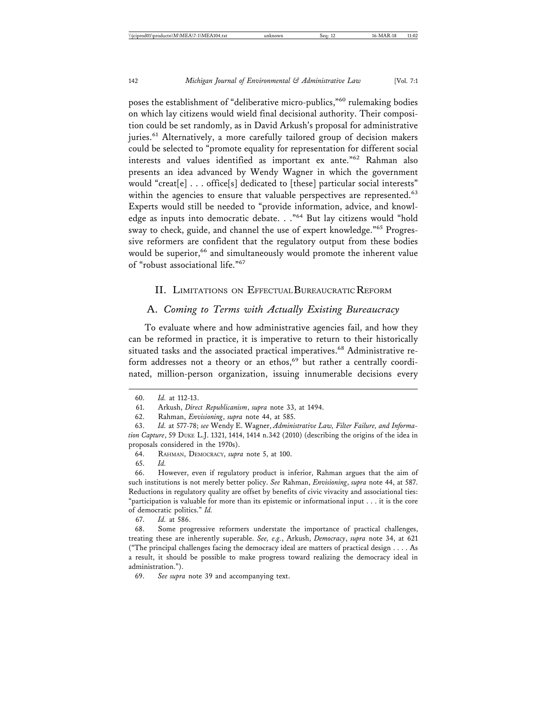poses the establishment of "deliberative micro-publics,"60 rulemaking bodies on which lay citizens would wield final decisional authority. Their composition could be set randomly, as in David Arkush's proposal for administrative juries.<sup>61</sup> Alternatively, a more carefully tailored group of decision makers could be selected to "promote equality for representation for different social interests and values identified as important ex ante."62 Rahman also presents an idea advanced by Wendy Wagner in which the government would "creat[e] . . . office[s] dedicated to [these] particular social interests" within the agencies to ensure that valuable perspectives are represented.<sup>63</sup> Experts would still be needed to "provide information, advice, and knowledge as inputs into democratic debate. . ."64 But lay citizens would "hold sway to check, guide, and channel the use of expert knowledge."<sup>65</sup> Progressive reformers are confident that the regulatory output from these bodies would be superior,<sup>66</sup> and simultaneously would promote the inherent value of "robust associational life."<sup>67</sup>

#### II. LIMITATIONS ON EFFECTUAL BUREAUCRATIC REFORM

#### A. *Coming to Terms with Actually Existing Bureaucracy*

To evaluate where and how administrative agencies fail, and how they can be reformed in practice, it is imperative to return to their historically situated tasks and the associated practical imperatives.<sup>68</sup> Administrative reform addresses not a theory or an ethos,<sup>69</sup> but rather a centrally coordinated, million-person organization, issuing innumerable decisions every

65. *Id.*

67. *Id.* at 586.

<sup>60.</sup> *Id.* at 112-13.

<sup>61.</sup> Arkush, *Direct Republicanism*, *supra* note 33, at 1494.

<sup>62.</sup> Rahman, *Envisioning*, *supra* note 44, at 585.

<sup>63.</sup> *Id.* at 577-78; *see* Wendy E. Wagner, *Administrative Law, Filter Failure, and Information Capture*, 59 DUKE L.J. 1321, 1414, 1414 n.342 (2010) (describing the origins of the idea in proposals considered in the 1970s).

<sup>64.</sup> RAHMAN, DEMOCRACY, *supra* note 5, at 100.

<sup>66.</sup> However, even if regulatory product is inferior, Rahman argues that the aim of such institutions is not merely better policy. *See* Rahman, *Envisioning*, *supra* note 44, at 587. Reductions in regulatory quality are offset by benefits of civic vivacity and associational ties: "participation is valuable for more than its epistemic or informational input . . . it is the core of democratic politics." *Id.*

<sup>68.</sup> Some progressive reformers understate the importance of practical challenges, treating these are inherently superable. *See, e.g.*, Arkush, *Democracy*, *supra* note 34, at 621 ("The principal challenges facing the democracy ideal are matters of practical design . . . . As a result, it should be possible to make progress toward realizing the democracy ideal in administration.").

<sup>69.</sup> *See supra* note 39 and accompanying text.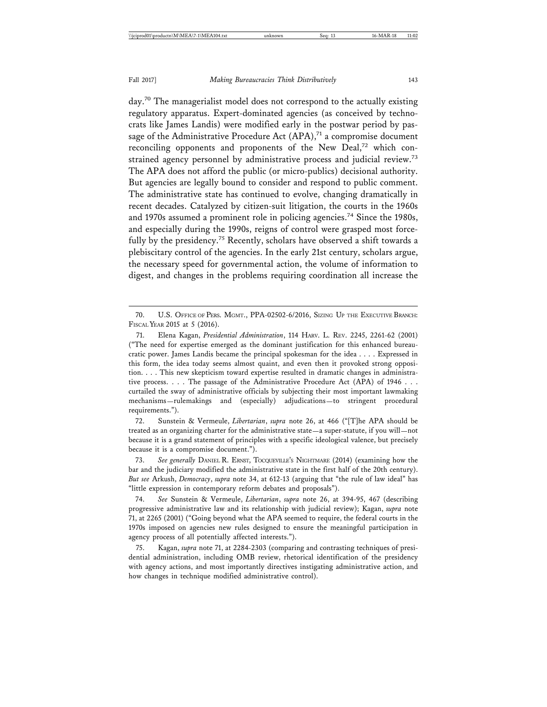day.<sup>70</sup> The managerialist model does not correspond to the actually existing regulatory apparatus. Expert-dominated agencies (as conceived by technocrats like James Landis) were modified early in the postwar period by passage of the Administrative Procedure Act  $(APA),<sup>71</sup>$  a compromise document reconciling opponents and proponents of the New Deal,<sup>72</sup> which constrained agency personnel by administrative process and judicial review.<sup>73</sup> The APA does not afford the public (or micro-publics) decisional authority. But agencies are legally bound to consider and respond to public comment. The administrative state has continued to evolve, changing dramatically in recent decades. Catalyzed by citizen-suit litigation, the courts in the 1960s and 1970s assumed a prominent role in policing agencies.<sup>74</sup> Since the 1980s, and especially during the 1990s, reigns of control were grasped most forcefully by the presidency.<sup>75</sup> Recently, scholars have observed a shift towards a plebiscitary control of the agencies. In the early 21st century, scholars argue, the necessary speed for governmental action, the volume of information to digest, and changes in the problems requiring coordination all increase the

72. Sunstein & Vermeule, *Libertarian*, *supra* note 26, at 466 ("[T]he APA should be treated as an organizing charter for the administrative state—a super-statute, if you will—not because it is a grand statement of principles with a specific ideological valence, but precisely because it is a compromise document.").

73. *See generally* DANIEL R. ERNST, TOCQUEVILLE'S NIGHTMARE (2014) (examining how the bar and the judiciary modified the administrative state in the first half of the 20th century). *But see* Arkush, *Democracy*, *supra* note 34, at 612-13 (arguing that "the rule of law ideal" has "little expression in contemporary reform debates and proposals").

74. *See* Sunstein & Vermeule, *Libertarian*, *supra* note 26, at 394-95, 467 (describing progressive administrative law and its relationship with judicial review); Kagan, *supra* note 71, at 2265 (2001) ("Going beyond what the APA seemed to require, the federal courts in the 1970s imposed on agencies new rules designed to ensure the meaningful participation in agency process of all potentially affected interests.").

75. Kagan, *supra* note 71, at 2284-2303 (comparing and contrasting techniques of presidential administration, including OMB review, rhetorical identification of the presidency with agency actions, and most importantly directives instigating administrative action, and how changes in technique modified administrative control).

<sup>70.</sup> U.S. OFFICE OF PERS. MGMT., PPA-02502-6/2016, SIZING UP THE EXECUTIVE BRANCH: FISCAL YEAR 2015 at 5 (2016).

<sup>71.</sup> Elena Kagan, *Presidential Administration*, 114 HARV. L. REV. 2245, 2261-62 (2001) ("The need for expertise emerged as the dominant justification for this enhanced bureaucratic power. James Landis became the principal spokesman for the idea . . . . Expressed in this form, the idea today seems almost quaint, and even then it provoked strong opposition. . . . This new skepticism toward expertise resulted in dramatic changes in administrative process. . . . The passage of the Administrative Procedure Act (APA) of 1946 . . . curtailed the sway of administrative officials by subjecting their most important lawmaking mechanisms—rulemakings and (especially) adjudications—to stringent procedural requirements.").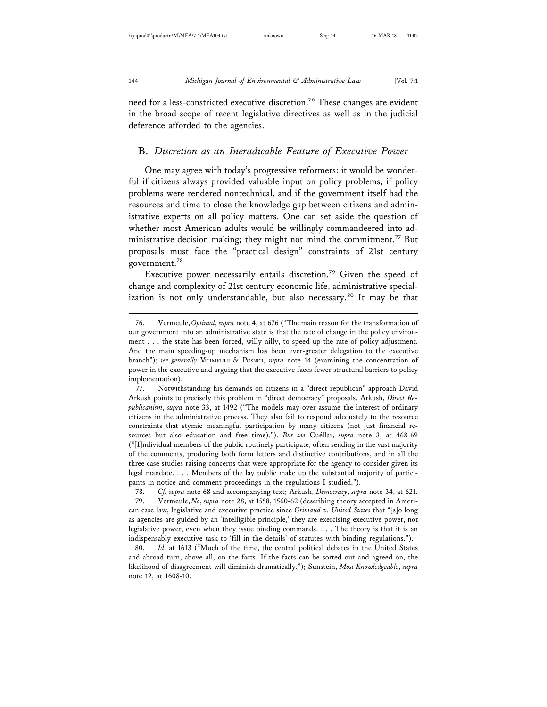need for a less-constricted executive discretion.<sup>76</sup> These changes are evident in the broad scope of recent legislative directives as well as in the judicial deference afforded to the agencies.

#### B. *Discretion as an Ineradicable Feature of Executive Power*

One may agree with today's progressive reformers: it would be wonderful if citizens always provided valuable input on policy problems, if policy problems were rendered nontechnical, and if the government itself had the resources and time to close the knowledge gap between citizens and administrative experts on all policy matters. One can set aside the question of whether most American adults would be willingly commandeered into administrative decision making; they might not mind the commitment.<sup>77</sup> But proposals must face the "practical design" constraints of 21st century government.78

Executive power necessarily entails discretion.<sup>79</sup> Given the speed of change and complexity of 21st century economic life, administrative specialization is not only understandable, but also necessary.<sup>80</sup> It may be that

78. *Cf. supra* note 68 and accompanying text; Arkush, *Democracy*, *supra* note 34, at 621.

79. Vermeule, *No*, *supra* note 28, at 1558, 1560-62 (describing theory accepted in American case law, legislative and executive practice since *Grimaud v. United States* that "[s]o long as agencies are guided by an 'intelligible principle,' they are exercising executive power, not legislative power, even when they issue binding commands. . . . The theory is that it is an indispensably executive task to 'fill in the details' of statutes with binding regulations.").

80. *Id.* at 1613 ("Much of the time, the central political debates in the United States and abroad turn, above all, on the facts. If the facts can be sorted out and agreed on, the likelihood of disagreement will diminish dramatically."); Sunstein, *Most Knowledgeable*, *supra* note 12, at 1608-10.

<sup>76.</sup> Vermeule, *Optimal*, *supra* note 4, at 676 ("The main reason for the transformation of our government into an administrative state is that the rate of change in the policy environment . . . the state has been forced, willy-nilly, to speed up the rate of policy adjustment. And the main speeding-up mechanism has been ever-greater delegation to the executive branch"); *see generally* VERMEULE & POSNER, *supra* note 14 (examining the concentration of power in the executive and arguing that the executive faces fewer structural barriers to policy implementation).

<sup>77.</sup> Notwithstanding his demands on citizens in a "direct republican" approach David Arkush points to precisely this problem in "direct democracy" proposals. Arkush, *Direct Republicanism*, *supra* note 33, at 1492 ("The models may over-assume the interest of ordinary citizens in the administrative process. They also fail to respond adequately to the resource constraints that stymie meaningful participation by many citizens (not just financial resources but also education and free time)."). But see Cuéllar, *supra* note 3, at 468-69 ("[I]ndividual members of the public routinely participate, often sending in the vast majority of the comments, producing both form letters and distinctive contributions, and in all the three case studies raising concerns that were appropriate for the agency to consider given its legal mandate. . . . Members of the lay public make up the substantial majority of participants in notice and comment proceedings in the regulations I studied.").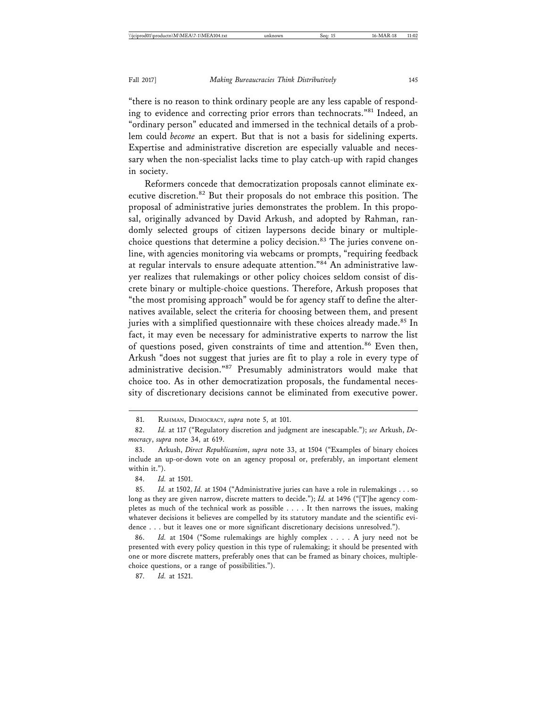"there is no reason to think ordinary people are any less capable of responding to evidence and correcting prior errors than technocrats."<sup>81</sup> Indeed, an "ordinary person" educated and immersed in the technical details of a problem could *become* an expert. But that is not a basis for sidelining experts. Expertise and administrative discretion are especially valuable and necessary when the non-specialist lacks time to play catch-up with rapid changes in society.

Reformers concede that democratization proposals cannot eliminate executive discretion.<sup>82</sup> But their proposals do not embrace this position. The proposal of administrative juries demonstrates the problem. In this proposal, originally advanced by David Arkush, and adopted by Rahman, randomly selected groups of citizen laypersons decide binary or multiplechoice questions that determine a policy decision.<sup>83</sup> The juries convene online, with agencies monitoring via webcams or prompts, "requiring feedback at regular intervals to ensure adequate attention."84 An administrative lawyer realizes that rulemakings or other policy choices seldom consist of discrete binary or multiple-choice questions. Therefore, Arkush proposes that "the most promising approach" would be for agency staff to define the alternatives available, select the criteria for choosing between them, and present juries with a simplified questionnaire with these choices already made.<sup>85</sup> In fact, it may even be necessary for administrative experts to narrow the list of questions posed, given constraints of time and attention.<sup>86</sup> Even then, Arkush "does not suggest that juries are fit to play a role in every type of administrative decision."87 Presumably administrators would make that choice too. As in other democratization proposals, the fundamental necessity of discretionary decisions cannot be eliminated from executive power.

87. *Id.* at 1521.

<sup>81.</sup> RAHMAN, DEMOCRACY, *supra* note 5, at 101.

<sup>82.</sup> *Id.* at 117 ("Regulatory discretion and judgment are inescapable."); *see* Arkush, *Democracy*, *supra* note 34, at 619.

<sup>83.</sup> Arkush, *Direct Republicanism*, *supra* note 33, at 1504 ("Examples of binary choices include an up-or-down vote on an agency proposal or, preferably, an important element within it.").

<sup>84.</sup> *Id.* at 1501.

<sup>85.</sup> *Id.* at 1502, *Id.* at 1504 ("Administrative juries can have a role in rulemakings . . . so long as they are given narrow, discrete matters to decide."); *Id.* at 1496 ("[T]he agency completes as much of the technical work as possible . . . . It then narrows the issues, making whatever decisions it believes are compelled by its statutory mandate and the scientific evidence . . . but it leaves one or more significant discretionary decisions unresolved.").

<sup>86.</sup> *Id.* at 1504 ("Some rulemakings are highly complex . . . . A jury need not be presented with every policy question in this type of rulemaking; it should be presented with one or more discrete matters, preferably ones that can be framed as binary choices, multiplechoice questions, or a range of possibilities.").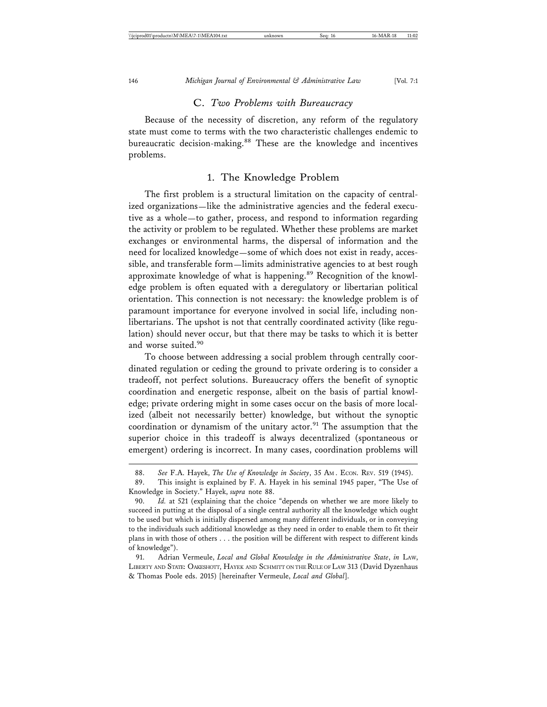#### C. *Two Problems with Bureaucracy*

Because of the necessity of discretion, any reform of the regulatory state must come to terms with the two characteristic challenges endemic to bureaucratic decision-making.<sup>88</sup> These are the knowledge and incentives problems.

#### 1. The Knowledge Problem

The first problem is a structural limitation on the capacity of centralized organizations—like the administrative agencies and the federal executive as a whole—to gather, process, and respond to information regarding the activity or problem to be regulated. Whether these problems are market exchanges or environmental harms, the dispersal of information and the need for localized knowledge—some of which does not exist in ready, accessible, and transferable form—limits administrative agencies to at best rough approximate knowledge of what is happening.<sup>89</sup> Recognition of the knowledge problem is often equated with a deregulatory or libertarian political orientation. This connection is not necessary: the knowledge problem is of paramount importance for everyone involved in social life, including nonlibertarians. The upshot is not that centrally coordinated activity (like regulation) should never occur, but that there may be tasks to which it is better and worse suited.<sup>90</sup>

To choose between addressing a social problem through centrally coordinated regulation or ceding the ground to private ordering is to consider a tradeoff, not perfect solutions. Bureaucracy offers the benefit of synoptic coordination and energetic response, albeit on the basis of partial knowledge; private ordering might in some cases occur on the basis of more localized (albeit not necessarily better) knowledge, but without the synoptic coordination or dynamism of the unitary actor.<sup>91</sup> The assumption that the superior choice in this tradeoff is always decentralized (spontaneous or emergent) ordering is incorrect. In many cases, coordination problems will

<sup>88.</sup> See F.A. Hayek, *The Use of Knowledge in Society*, 35 Am. ECON. REV. 519 (1945). 89. This insight is explained by F. A. Hayek in his seminal 1945 paper, "The Use of Knowledge in Society." Hayek, *supra* note 88.

<sup>90.</sup> *Id.* at 521 (explaining that the choice "depends on whether we are more likely to succeed in putting at the disposal of a single central authority all the knowledge which ought to be used but which is initially dispersed among many different individuals, or in conveying to the individuals such additional knowledge as they need in order to enable them to fit their plans in with those of others . . . the position will be different with respect to different kinds of knowledge").

<sup>91.</sup> Adrian Vermeule, *Local and Global Knowledge in the Administrative State*, *in* LAW, LIBERTY AND STATE: OAKESHOTT, HAYEK AND SCHMITT ON THE RULE OF LAW 313 (David Dyzenhaus & Thomas Poole eds. 2015) [hereinafter Vermeule, *Local and Global*].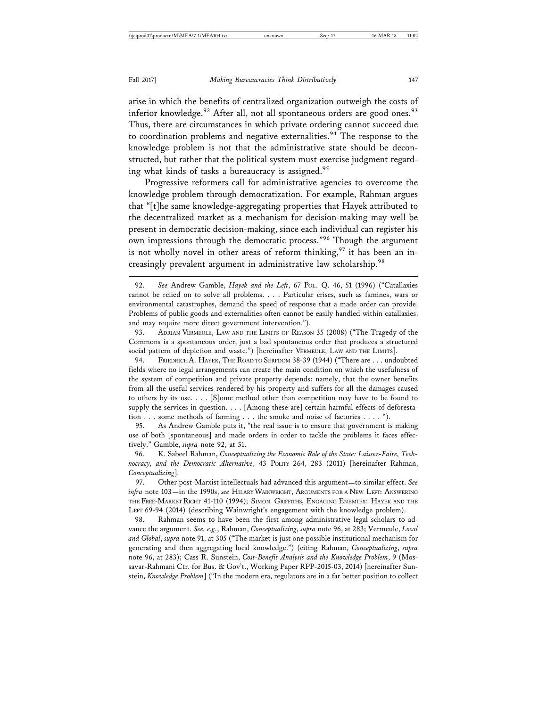arise in which the benefits of centralized organization outweigh the costs of inferior knowledge.<sup>92</sup> After all, not all spontaneous orders are good ones.<sup>93</sup> Thus, there are circumstances in which private ordering cannot succeed due to coordination problems and negative externalities.<sup>94</sup> The response to the knowledge problem is not that the administrative state should be deconstructed, but rather that the political system must exercise judgment regarding what kinds of tasks a bureaucracy is assigned.<sup>95</sup>

Progressive reformers call for administrative agencies to overcome the knowledge problem through democratization. For example, Rahman argues that "[t]he same knowledge-aggregating properties that Hayek attributed to the decentralized market as a mechanism for decision-making may well be present in democratic decision-making, since each individual can register his own impressions through the democratic process."96 Though the argument is not wholly novel in other areas of reform thinking, $97$  it has been an increasingly prevalent argument in administrative law scholarship.<sup>98</sup>

98. Rahman seems to have been the first among administrative legal scholars to advance the argument. *See, e.g.*, Rahman, *Conceptualizing*, *supra* note 96, at 283; Vermeule, *Local and Global*, *supra* note 91, at 305 ("The market is just one possible institutional mechanism for generating and then aggregating local knowledge.") (citing Rahman, *Conceptualizing*, *supra* note 96, at 283); Cass R. Sunstein, *Cost-Benefit Analysis and the Knowledge Problem*, 9 (Mossavar-Rahmani Ctr. for Bus. & Gov't., Working Paper RPP-2015-03, 2014) [hereinafter Sunstein, *Knowledge Problem*] ("In the modern era, regulators are in a far better position to collect

<sup>92.</sup> *See* Andrew Gamble, *Hayek and the Left*, 67 POL. Q. 46, 51 (1996) ("Catallaxies cannot be relied on to solve all problems. . . . Particular crises, such as famines, wars or environmental catastrophes, demand the speed of response that a made order can provide. Problems of public goods and externalities often cannot be easily handled within catallaxies, and may require more direct government intervention.").

<sup>93.</sup> ADRIAN VERMEULE, LAW AND THE LIMITS OF REASON 35 (2008) ("The Tragedy of the Commons is a spontaneous order, just a bad spontaneous order that produces a structured social pattern of depletion and waste.") [hereinafter VERMEULE, LAW AND THE LIMITS].

<sup>94.</sup> FRIEDRICH A. HAYEK, THE ROAD TO SERFDOM 38-39 (1944) ("There are . . . undoubted fields where no legal arrangements can create the main condition on which the usefulness of the system of competition and private property depends: namely, that the owner benefits from all the useful services rendered by his property and suffers for all the damages caused to others by its use. . . . [S]ome method other than competition may have to be found to supply the services in question. . . . [Among these are] certain harmful effects of deforestation . . . some methods of farming . . . the smoke and noise of factories . . . . ").

<sup>95.</sup> As Andrew Gamble puts it, "the real issue is to ensure that government is making use of both [spontaneous] and made orders in order to tackle the problems it faces effectively." Gamble, *supra* note 92, at 51.

<sup>96.</sup> K. Sabeel Rahman, *Conceptualizing the Economic Role of the State: Laissez-Faire, Technocracy, and the Democratic Alternative*, 43 POLITY 264, 283 (2011) [hereinafter Rahman, *Conceptualizing*].

<sup>97.</sup> Other post-Marxist intellectuals had advanced this argument—to similar effect. *See infra* note 103—in the 1990s, *see* HILARY WAINWRIGHT, ARGUMENTS FOR A NEW LEFT: ANSWERING THE FREE-MARKET RIGHT 41-110 (1994); SIMON GRIFFITHS, ENGAGING ENEMIES: HAYEK AND THE LEFT 69-94 (2014) (describing Wainwright's engagement with the knowledge problem).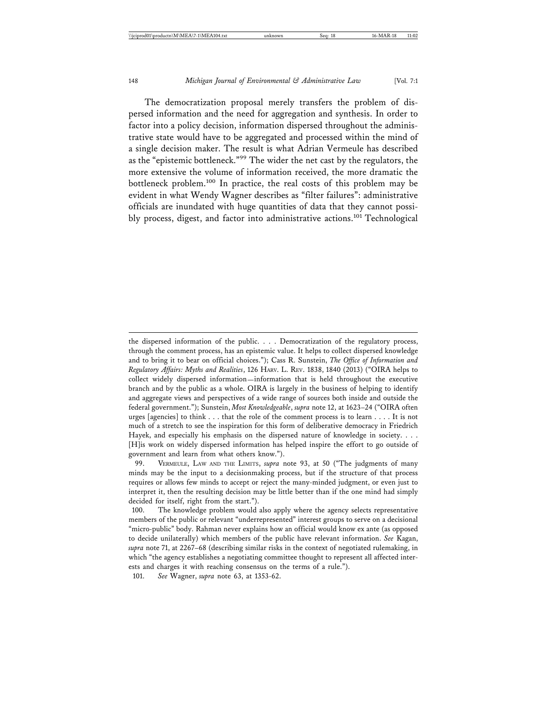The democratization proposal merely transfers the problem of dispersed information and the need for aggregation and synthesis. In order to factor into a policy decision, information dispersed throughout the administrative state would have to be aggregated and processed within the mind of a single decision maker. The result is what Adrian Vermeule has described as the "epistemic bottleneck."99 The wider the net cast by the regulators, the more extensive the volume of information received, the more dramatic the bottleneck problem.100 In practice, the real costs of this problem may be evident in what Wendy Wagner describes as "filter failures": administrative officials are inundated with huge quantities of data that they cannot possibly process, digest, and factor into administrative actions.<sup>101</sup> Technological

the dispersed information of the public. . . . Democratization of the regulatory process, through the comment process, has an epistemic value. It helps to collect dispersed knowledge and to bring it to bear on official choices."); Cass R. Sunstein, *The Office of Information and Regulatory Affairs: Myths and Realities*, 126 HARV. L. REV. 1838, 1840 (2013) ("OIRA helps to collect widely dispersed information—information that is held throughout the executive branch and by the public as a whole. OIRA is largely in the business of helping to identify and aggregate views and perspectives of a wide range of sources both inside and outside the federal government."); Sunstein, *Most Knowledgeable*, *supra* note 12, at 1623–24 ("OIRA often urges [agencies] to think . . . that the role of the comment process is to learn . . . . It is not much of a stretch to see the inspiration for this form of deliberative democracy in Friedrich Hayek, and especially his emphasis on the dispersed nature of knowledge in society. . . . [H]is work on widely dispersed information has helped inspire the effort to go outside of government and learn from what others know.").

<sup>99.</sup> VERMEULE, LAW AND THE LIMITS, *supra* note 93, at 50 ("The judgments of many minds may be the input to a decisionmaking process, but if the structure of that process requires or allows few minds to accept or reject the many-minded judgment, or even just to interpret it, then the resulting decision may be little better than if the one mind had simply decided for itself, right from the start.").

<sup>100.</sup> The knowledge problem would also apply where the agency selects representative members of the public or relevant "underrepresented" interest groups to serve on a decisional "micro-public" body. Rahman never explains how an official would know ex ante (as opposed to decide unilaterally) which members of the public have relevant information. *See* Kagan, *supra* note 71, at 2267–68 (describing similar risks in the context of negotiated rulemaking, in which "the agency establishes a negotiating committee thought to represent all affected interests and charges it with reaching consensus on the terms of a rule.").

<sup>101.</sup> *See* Wagner, *supra* note 63, at 1353-62.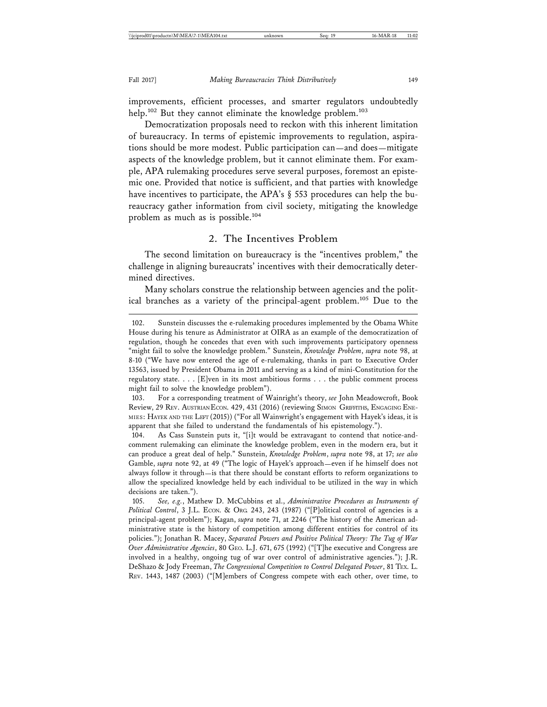improvements, efficient processes, and smarter regulators undoubtedly help.<sup>102</sup> But they cannot eliminate the knowledge problem.<sup>103</sup>

Democratization proposals need to reckon with this inherent limitation of bureaucracy. In terms of epistemic improvements to regulation, aspirations should be more modest. Public participation can—and does—mitigate aspects of the knowledge problem, but it cannot eliminate them. For example, APA rulemaking procedures serve several purposes, foremost an epistemic one. Provided that notice is sufficient, and that parties with knowledge have incentives to participate, the APA's § 553 procedures can help the bureaucracy gather information from civil society, mitigating the knowledge problem as much as is possible.104

#### 2. The Incentives Problem

The second limitation on bureaucracy is the "incentives problem," the challenge in aligning bureaucrats' incentives with their democratically determined directives.

Many scholars construe the relationship between agencies and the political branches as a variety of the principal-agent problem.<sup>105</sup> Due to the

<sup>102.</sup> Sunstein discusses the e-rulemaking procedures implemented by the Obama White House during his tenure as Administrator at OIRA as an example of the democratization of regulation, though he concedes that even with such improvements participatory openness "might fail to solve the knowledge problem." Sunstein, *Knowledge Problem*, *supra* note 98, at 8-10 ("We have now entered the age of e-rulemaking, thanks in part to Executive Order 13563, issued by President Obama in 2011 and serving as a kind of mini-Constitution for the regulatory state. . . . [E]ven in its most ambitious forms . . . the public comment process might fail to solve the knowledge problem").

<sup>103.</sup> For a corresponding treatment of Wainright's theory, *see* John Meadowcroft, Book Review, 29 REV. AUSTRIAN ECON. 429, 431 (2016) (reviewing SIMON GRIFFITHS, ENGAGING ENE-MIES: HAYEK AND THE LEFT (2015)) ("For all Wainwright's engagement with Hayek's ideas, it is apparent that she failed to understand the fundamentals of his epistemology.").

<sup>104.</sup> As Cass Sunstein puts it, "[i]t would be extravagant to contend that notice-andcomment rulemaking can eliminate the knowledge problem, even in the modern era, but it can produce a great deal of help." Sunstein, *Knowledge Problem*, *supra* note 98, at 17; *see also* Gamble, *supra* note 92, at 49 ("The logic of Hayek's approach—even if he himself does not always follow it through—is that there should be constant efforts to reform organizations to allow the specialized knowledge held by each individual to be utilized in the way in which decisions are taken.").

<sup>105.</sup> *See, e.g.*, Mathew D. McCubbins et al., *Administrative Procedures as Instruments of Political Control*, 3 J.L. ECON. & ORG. 243, 243 (1987) ("[P]olitical control of agencies is a principal-agent problem"); Kagan, *supra* note 71, at 2246 ("The history of the American administrative state is the history of competition among different entities for control of its policies."); Jonathan R. Macey, *Separated Powers and Positive Political Theory: The Tug of War Over Administrative Agencies*, 80 GEO. L.J. 671, 675 (1992) ("[T]he executive and Congress are involved in a healthy, ongoing tug of war over control of administrative agencies."); J.R. DeShazo & Jody Freeman, *The Congressional Competition to Control Delegated Power*, 81 TEX. L. REV. 1443, 1487 (2003) ("[M]embers of Congress compete with each other, over time, to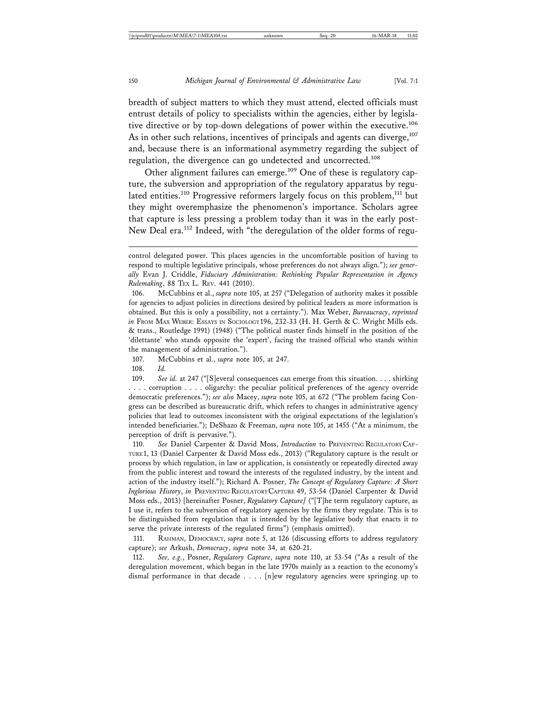breadth of subject matters to which they must attend, elected officials must entrust details of policy to specialists within the agencies, either by legislative directive or by top-down delegations of power within the executive.<sup>106</sup> As in other such relations, incentives of principals and agents can diverge,<sup>107</sup> and, because there is an informational asymmetry regarding the subject of regulation, the divergence can go undetected and uncorrected.<sup>108</sup>

Other alignment failures can emerge.<sup>109</sup> One of these is regulatory capture, the subversion and appropriation of the regulatory apparatus by regulated entities.<sup>110</sup> Progressive reformers largely focus on this problem,<sup>111</sup> but they might overemphasize the phenomenon's importance. Scholars agree that capture is less pressing a problem today than it was in the early post-New Deal era.<sup>112</sup> Indeed, with "the deregulation of the older forms of regu-

106. McCubbins et al., *supra* note 105, at 257 ("Delegation of authority makes it possible for agencies to adjust policies in directions desired by political leaders as more information is obtained. But this is only a possibility, not a certainty."). Max Weber, *Bureaucracy*, *reprinted in* From MAX WEBER: ESSAYS IN SOCIOLOGY 196, 232-33 (H. H. Gerth & C. Wright Mills eds. & trans., Routledge 1991) (1948) ("The political master finds himself in the position of the 'dilettante' who stands opposite the 'expert', facing the trained official who stands within the management of administration.").

107. McCubbins et al., *supra* note 105, at 247.

108. *Id.*

109. *See id.* at 247 ("[S]everal consequences can emerge from this situation. . . . shirking . . . . corruption . . . . oligarchy: the peculiar political preferences of the agency override democratic preferences."); *see also* Macey, *supra* note 105, at 672 ("The problem facing Congress can be described as bureaucratic drift, which refers to changes in administrative agency policies that lead to outcomes inconsistent with the original expectations of the legislation's intended beneficiaries."); DeShazo & Freeman, *supra* note 105, at 1455 ("At a minimum, the perception of drift is pervasive.").

110. *See* Daniel Carpenter & David Moss, *Introduction* to PREVENTING REGULATORY CAP-TURE 1, 13 (Daniel Carpenter & David Moss eds., 2013) ("Regulatory capture is the result or process by which regulation, in law or application, is consistently or repeatedly directed away from the public interest and toward the interests of the regulated industry, by the intent and action of the industry itself."); Richard A. Posner, *The Concept of Regulatory Capture: A Short Inglorious History*, *in* PREVENTING REGULATORY CAPTURE 49, 53-54 (Daniel Carpenter & David Moss eds., 2013) [hereinafter Posner, *Regulatory Capture]* ("[T]he term regulatory capture, as I use it, refers to the subversion of regulatory agencies by the firms they regulate. This is to be distinguished from regulation that is intended by the legislative body that enacts it to serve the private interests of the regulated firms") (emphasis omitted).

111. RAHMAN, DEMOCRACY, *supra* note 5, at 126 (discussing efforts to address regulatory capture); *see* Arkush, *Democracy*, *supra* note 34, at 620-21.

112. *See, e.g.*, Posner, *Regulatory Capture*, *supra* note 110, at 53-54 ("As a result of the deregulation movement, which began in the late 1970s mainly as a reaction to the economy's dismal performance in that decade . . . . [n]ew regulatory agencies were springing up to

control delegated power. This places agencies in the uncomfortable position of having to respond to multiple legislative principals, whose preferences do not always align."); *see generally* Evan J. Criddle, *Fiduciary Administration: Rethinking Popular Representation in Agency Rulemaking*, 88 TEX L. REV. 441 (2010).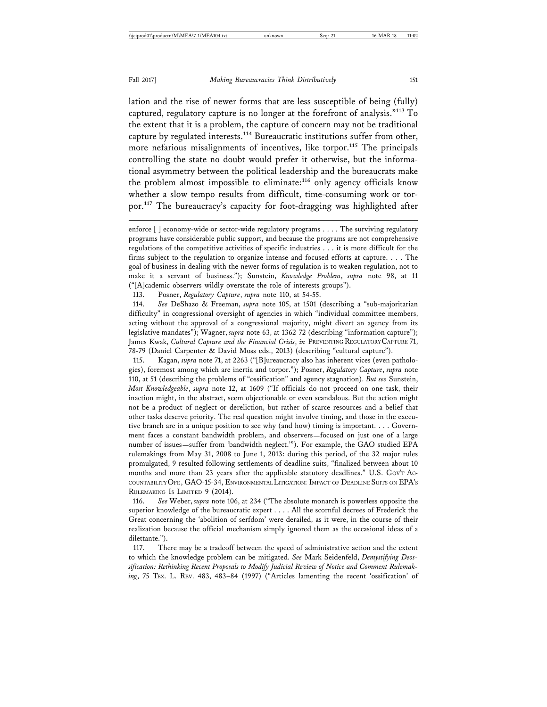lation and the rise of newer forms that are less susceptible of being (fully) captured, regulatory capture is no longer at the forefront of analysis."113 To the extent that it is a problem, the capture of concern may not be traditional capture by regulated interests.<sup>114</sup> Bureaucratic institutions suffer from other, more nefarious misalignments of incentives, like torpor.<sup>115</sup> The principals controlling the state no doubt would prefer it otherwise, but the informational asymmetry between the political leadership and the bureaucrats make the problem almost impossible to eliminate:<sup>116</sup> only agency officials know whether a slow tempo results from difficult, time-consuming work or torpor.117 The bureaucracy's capacity for foot-dragging was highlighted after

113. Posner, *Regulatory Capture*, *supra* note 110, at 54-55.

114. *See* DeShazo & Freeman, *supra* note 105, at 1501 (describing a "sub-majoritarian difficulty" in congressional oversight of agencies in which "individual committee members, acting without the approval of a congressional majority, might divert an agency from its legislative mandates"); Wagner, *supra* note 63, at 1362-72 (describing "information capture"); James Kwak, *Cultural Capture and the Financial Crisis*, *in* PREVENTING REGULATORY CAPTURE 71, 78-79 (Daniel Carpenter & David Moss eds., 2013) (describing "cultural capture").

115. Kagan, *supra* note 71, at 2263 ("[B]ureaucracy also has inherent vices (even pathologies), foremost among which are inertia and torpor."); Posner, *Regulatory Capture*, *supra* note 110, at 51 (describing the problems of "ossification" and agency stagnation). *But see* Sunstein, *Most Knowledgeable*, *supra* note 12, at 1609 ("If officials do not proceed on one task, their inaction might, in the abstract, seem objectionable or even scandalous. But the action might not be a product of neglect or dereliction, but rather of scarce resources and a belief that other tasks deserve priority. The real question might involve timing, and those in the executive branch are in a unique position to see why (and how) timing is important. . . . Government faces a constant bandwidth problem, and observers—focused on just one of a large number of issues—suffer from 'bandwidth neglect.'"). For example, the GAO studied EPA rulemakings from May 31, 2008 to June 1, 2013: during this period, of the 32 major rules promulgated, 9 resulted following settlements of deadline suits, "finalized between about 10 months and more than 23 years after the applicable statutory deadlines." U.S. Gov'r Ac-COUNTABILITY OFF., GAO-15-34, ENVIRONMENTAL LITIGATION: IMPACT OF DEADLINE SUITS ON EPA'S RULEMAKING IS LIMITED 9 (2014).

116. *See* Weber, *supra* note 106, at 234 ("The absolute monarch is powerless opposite the superior knowledge of the bureaucratic expert . . . . All the scornful decrees of Frederick the Great concerning the 'abolition of serfdom' were derailed, as it were, in the course of their realization because the official mechanism simply ignored them as the occasional ideas of a dilettante.").

117. There may be a tradeoff between the speed of administrative action and the extent to which the knowledge problem can be mitigated. *See* Mark Seidenfeld, *Demystifying Deossification: Rethinking Recent Proposals to Modify Judicial Review of Notice and Comment Rulemaking*, 75 TEX. L. REV. 483, 483–84 (1997) ("Articles lamenting the recent 'ossification' of

enforce [ ] economy-wide or sector-wide regulatory programs . . . . The surviving regulatory programs have considerable public support, and because the programs are not comprehensive regulations of the competitive activities of specific industries . . . it is more difficult for the firms subject to the regulation to organize intense and focused efforts at capture. . . . The goal of business in dealing with the newer forms of regulation is to weaken regulation, not to make it a servant of business."); Sunstein, *Knowledge Problem*, *supra* note 98, at 11 ("[A]cademic observers wildly overstate the role of interests groups").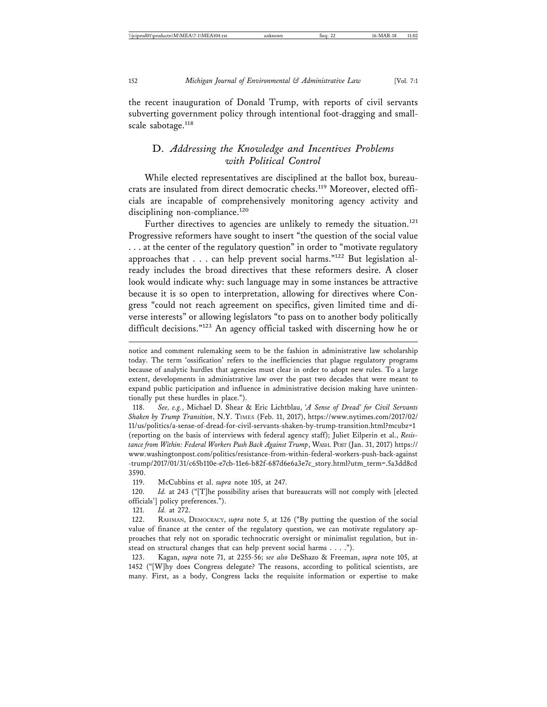the recent inauguration of Donald Trump, with reports of civil servants subverting government policy through intentional foot-dragging and smallscale sabotage.<sup>118</sup>

# D. *Addressing the Knowledge and Incentives Problems with Political Control*

While elected representatives are disciplined at the ballot box, bureaucrats are insulated from direct democratic checks.<sup>119</sup> Moreover, elected officials are incapable of comprehensively monitoring agency activity and disciplining non-compliance.<sup>120</sup>

Further directives to agencies are unlikely to remedy the situation.<sup>121</sup> Progressive reformers have sought to insert "the question of the social value . . . at the center of the regulatory question" in order to "motivate regulatory approaches that  $\ldots$  can help prevent social harms." $^{122}$  But legislation already includes the broad directives that these reformers desire. A closer look would indicate why: such language may in some instances be attractive because it is so open to interpretation, allowing for directives where Congress "could not reach agreement on specifics, given limited time and diverse interests" or allowing legislators "to pass on to another body politically difficult decisions."<sup>123</sup> An agency official tasked with discerning how he or

118. *See, e.g.*, Michael D. Shear & Eric Lichtblau, *'A Sense of Dread' for Civil Servants Shaken by Trump Transition*, N.Y. TIMES (Feb. 11, 2017), https://www.nytimes.com/2017/02/ 11/us/politics/a-sense-of-dread-for-civil-servants-shaken-by-trump-transition.html?mcubz=1 (reporting on the basis of interviews with federal agency staff); Juliet Eilperin et al., *Resistance from Within: Federal Workers Push Back Against Trump*, WASH. POST (Jan. 31, 2017) https:// www.washingtonpost.com/politics/resistance-from-within-federal-workers-push-back-against -trump/2017/01/31/c65b110e-e7cb-11e6-b82f-687d6e6a3e7c\_story.html?utm\_term=.5a3dd8cd 3590.

119. McCubbins et al. *supra* note 105, at 247.

120. *Id.* at 243 ("[T]he possibility arises that bureaucrats will not comply with [elected officials'] policy preferences.").

121. *Id.* at 272.

122. RAHMAN, DEMOCRACY, *supra* note 5, at 126 ("By putting the question of the social value of finance at the center of the regulatory question, we can motivate regulatory approaches that rely not on sporadic technocratic oversight or minimalist regulation, but instead on structural changes that can help prevent social harms . . . .").

123. Kagan, *supra* note 71, at 2255-56; *see also* DeShazo & Freeman, *supra* note 105, at 1452 ("[W]hy does Congress delegate? The reasons, according to political scientists, are many. First, as a body, Congress lacks the requisite information or expertise to make

notice and comment rulemaking seem to be the fashion in administrative law scholarship today. The term 'ossification' refers to the inefficiencies that plague regulatory programs because of analytic hurdles that agencies must clear in order to adopt new rules. To a large extent, developments in administrative law over the past two decades that were meant to expand public participation and influence in administrative decision making have unintentionally put these hurdles in place.").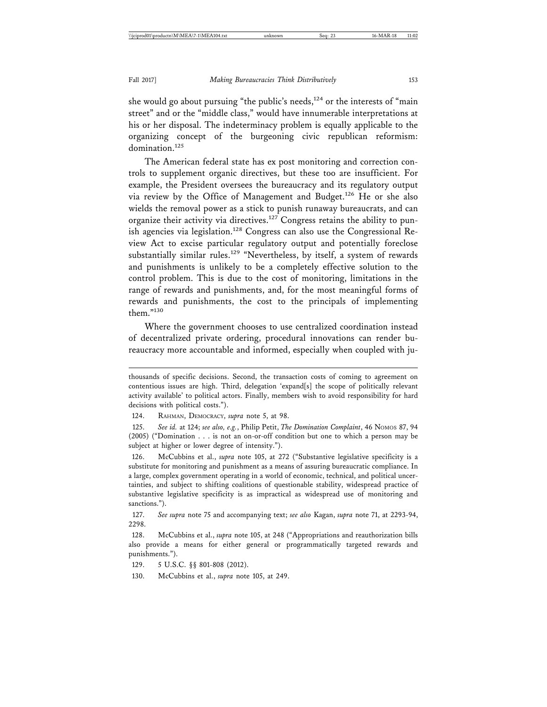she would go about pursuing "the public's needs, $124$  or the interests of "main street" and or the "middle class," would have innumerable interpretations at his or her disposal. The indeterminacy problem is equally applicable to the organizing concept of the burgeoning civic republican reformism: domination.<sup>125</sup>

The American federal state has ex post monitoring and correction controls to supplement organic directives, but these too are insufficient. For example, the President oversees the bureaucracy and its regulatory output via review by the Office of Management and Budget.<sup>126</sup> He or she also wields the removal power as a stick to punish runaway bureaucrats, and can organize their activity via directives.<sup>127</sup> Congress retains the ability to punish agencies via legislation.<sup>128</sup> Congress can also use the Congressional Review Act to excise particular regulatory output and potentially foreclose substantially similar rules.<sup>129</sup> "Nevertheless, by itself, a system of rewards and punishments is unlikely to be a completely effective solution to the control problem. This is due to the cost of monitoring, limitations in the range of rewards and punishments, and, for the most meaningful forms of rewards and punishments, the cost to the principals of implementing them."130

Where the government chooses to use centralized coordination instead of decentralized private ordering, procedural innovations can render bureaucracy more accountable and informed, especially when coupled with ju-

124. RAHMAN, DEMOCRACY, *supra* note 5, at 98.

125. *See id.* at 124; *see also, e.g.*, Philip Petit, *The Domination Complaint*, 46 NOMOS 87, 94 (2005) ("Domination . . . is not an on-or-off condition but one to which a person may be subject at higher or lower degree of intensity.").

126. McCubbins et al., *supra* note 105, at 272 ("Substantive legislative specificity is a substitute for monitoring and punishment as a means of assuring bureaucratic compliance. In a large, complex government operating in a world of economic, technical, and political uncertainties, and subject to shifting coalitions of questionable stability, widespread practice of substantive legislative specificity is as impractical as widespread use of monitoring and sanctions.").

127. *See supra* note 75 and accompanying text; *see also* Kagan, *supra* note 71, at 2293-94, 2298.

128. McCubbins et al., *supra* note 105, at 248 ("Appropriations and reauthorization bills also provide a means for either general or programmatically targeted rewards and punishments.").

129. 5 U.S.C. §§ 801-808 (2012).

130. McCubbins et al., *supra* note 105, at 249.

thousands of specific decisions. Second, the transaction costs of coming to agreement on contentious issues are high. Third, delegation 'expand[s] the scope of politically relevant activity available' to political actors. Finally, members wish to avoid responsibility for hard decisions with political costs.").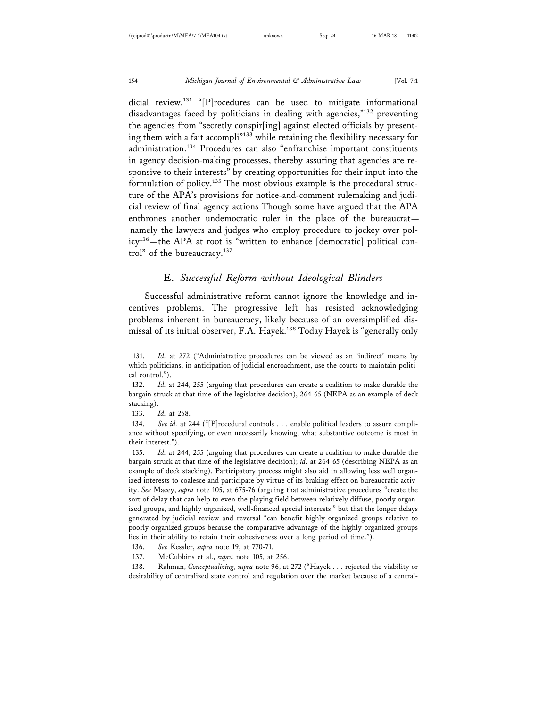dicial review.<sup>131</sup> "[P]rocedures can be used to mitigate informational disadvantages faced by politicians in dealing with agencies,"132 preventing the agencies from "secretly conspir[ing] against elected officials by presenting them with a fait accompli<sup>"133</sup> while retaining the flexibility necessary for administration.134 Procedures can also "enfranchise important constituents in agency decision-making processes, thereby assuring that agencies are responsive to their interests" by creating opportunities for their input into the formulation of policy.135 The most obvious example is the procedural structure of the APA's provisions for notice-and-comment rulemaking and judicial review of final agency actions Though some have argued that the APA enthrones another undemocratic ruler in the place of the bureaucrat namely the lawyers and judges who employ procedure to jockey over policy<sup>136</sup>—the APA at root is "written to enhance [democratic] political control" of the bureaucracy.<sup>137</sup>

#### E. *Successful Reform without Ideological Blinders*

Successful administrative reform cannot ignore the knowledge and incentives problems. The progressive left has resisted acknowledging problems inherent in bureaucracy, likely because of an oversimplified dismissal of its initial observer, F.A. Hayek.<sup>138</sup> Today Hayek is "generally only

133. *Id.* at 258.

134. *See id.* at 244 ("[P]rocedural controls . . . enable political leaders to assure compliance without specifying, or even necessarily knowing, what substantive outcome is most in their interest.").

135. *Id.* at 244, 255 (arguing that procedures can create a coalition to make durable the bargain struck at that time of the legislative decision); *id.* at 264-65 (describing NEPA as an example of deck stacking). Participatory process might also aid in allowing less well organized interests to coalesce and participate by virtue of its braking effect on bureaucratic activity. *See* Macey, *supra* note 105, at 675-76 (arguing that administrative procedures "create the sort of delay that can help to even the playing field between relatively diffuse, poorly organized groups, and highly organized, well-financed special interests," but that the longer delays generated by judicial review and reversal "can benefit highly organized groups relative to poorly organized groups because the comparative advantage of the highly organized groups lies in their ability to retain their cohesiveness over a long period of time.").

136. *See* Kessler, *supra* note 19, at 770-71.

137. McCubbins et al., *supra* note 105, at 256.

138. Rahman, *Conceptualizing*, *supra* note 96, at 272 ("Hayek . . . rejected the viability or desirability of centralized state control and regulation over the market because of a central-

<sup>131.</sup> *Id.* at 272 ("Administrative procedures can be viewed as an 'indirect' means by which politicians, in anticipation of judicial encroachment, use the courts to maintain political control.").

<sup>132.</sup> *Id.* at 244, 255 (arguing that procedures can create a coalition to make durable the bargain struck at that time of the legislative decision), 264-65 (NEPA as an example of deck stacking).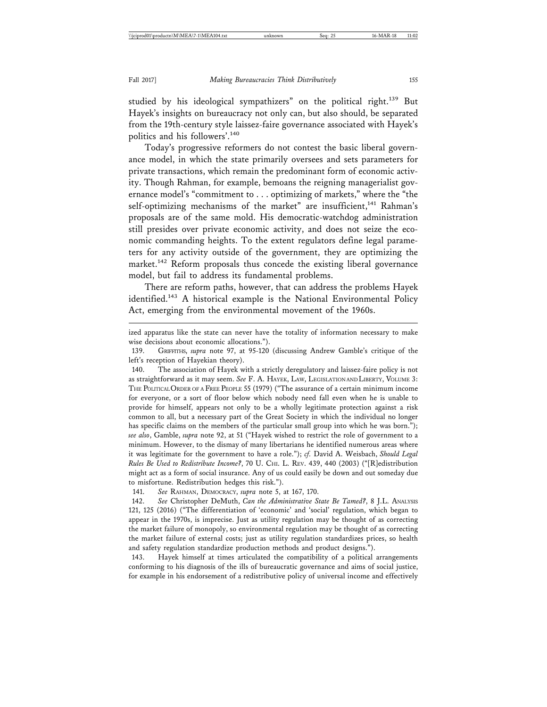studied by his ideological sympathizers" on the political right.<sup>139</sup> But Hayek's insights on bureaucracy not only can, but also should, be separated from the 19th-century style laissez-faire governance associated with Hayek's politics and his followers'.<sup>140</sup>

Today's progressive reformers do not contest the basic liberal governance model, in which the state primarily oversees and sets parameters for private transactions, which remain the predominant form of economic activity. Though Rahman, for example, bemoans the reigning managerialist governance model's "commitment to . . . optimizing of markets," where the "the self-optimizing mechanisms of the market" are insufficient,<sup>141</sup> Rahman's proposals are of the same mold. His democratic-watchdog administration still presides over private economic activity, and does not seize the economic commanding heights. To the extent regulators define legal parameters for any activity outside of the government, they are optimizing the market.<sup>142</sup> Reform proposals thus concede the existing liberal governance model, but fail to address its fundamental problems.

There are reform paths, however, that can address the problems Hayek identified.<sup>143</sup> A historical example is the National Environmental Policy Act, emerging from the environmental movement of the 1960s.

ized apparatus like the state can never have the totality of information necessary to make wise decisions about economic allocations.").

140. The association of Hayek with a strictly deregulatory and laissez-faire policy is not as straightforward as it may seem. *See* F. A. HAYEK, LAW, LEGISLATION AND LIBERTY, VOLUME 3: THE POLITICAL ORDER OF A FREE PEOPLE 55 (1979) ("The assurance of a certain minimum income for everyone, or a sort of floor below which nobody need fall even when he is unable to provide for himself, appears not only to be a wholly legitimate protection against a risk common to all, but a necessary part of the Great Society in which the individual no longer has specific claims on the members of the particular small group into which he was born."); *see also*, Gamble, *supra* note 92, at 51 ("Hayek wished to restrict the role of government to a minimum. However, to the dismay of many libertarians he identified numerous areas where it was legitimate for the government to have a role."); *cf.* David A. Weisbach, *Should Legal Rules Be Used to Redistribute Income?*, 70 U. CHI. L. REV. 439, 440 (2003) ("[R]edistribution might act as a form of social insurance. Any of us could easily be down and out someday due to misfortune. Redistribution hedges this risk.").

141. *See* RAHMAN, DEMOCRACY, *supra* note 5, at 167, 170.

142. *See* Christopher DeMuth, *Can the Administrative State Be Tamed?*, 8 J.L. ANALYSIS 121, 125 (2016) ("The differentiation of 'economic' and 'social' regulation, which began to appear in the 1970s, is imprecise. Just as utility regulation may be thought of as correcting the market failure of monopoly, so environmental regulation may be thought of as correcting the market failure of external costs; just as utility regulation standardizes prices, so health and safety regulation standardize production methods and product designs.").

143. Hayek himself at times articulated the compatibility of a political arrangements conforming to his diagnosis of the ills of bureaucratic governance and aims of social justice, for example in his endorsement of a redistributive policy of universal income and effectively

<sup>139.</sup> GRIFFITHS, *supra* note 97, at 95-120 (discussing Andrew Gamble's critique of the left's reception of Hayekian theory).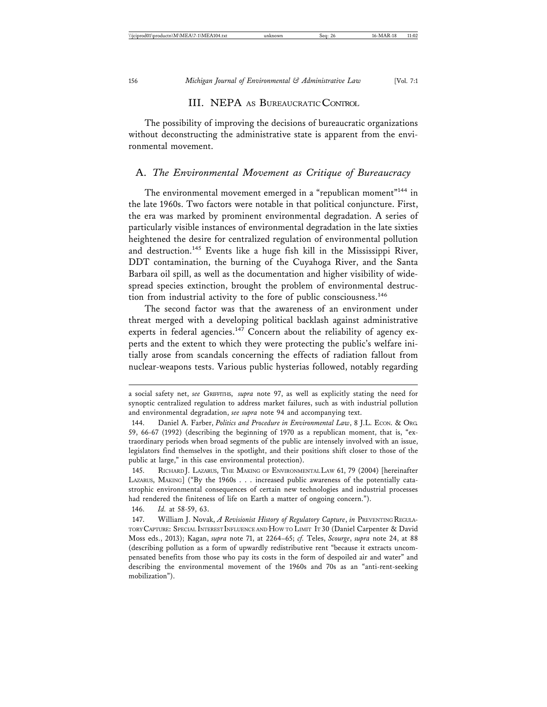#### III. NEPA AS BUREAUCRATIC CONTROL

The possibility of improving the decisions of bureaucratic organizations without deconstructing the administrative state is apparent from the environmental movement.

#### A. *The Environmental Movement as Critique of Bureaucracy*

The environmental movement emerged in a "republican moment"<sup>144</sup> in the late 1960s. Two factors were notable in that political conjuncture. First, the era was marked by prominent environmental degradation. A series of particularly visible instances of environmental degradation in the late sixties heightened the desire for centralized regulation of environmental pollution and destruction.<sup>145</sup> Events like a huge fish kill in the Mississippi River, DDT contamination, the burning of the Cuyahoga River, and the Santa Barbara oil spill, as well as the documentation and higher visibility of widespread species extinction, brought the problem of environmental destruction from industrial activity to the fore of public consciousness.<sup>146</sup>

The second factor was that the awareness of an environment under threat merged with a developing political backlash against administrative experts in federal agencies.<sup>147</sup> Concern about the reliability of agency experts and the extent to which they were protecting the public's welfare initially arose from scandals concerning the effects of radiation fallout from nuclear-weapons tests. Various public hysterias followed, notably regarding

a social safety net, *see* GRIFFITHS, *supra* note 97, as well as explicitly stating the need for synoptic centralized regulation to address market failures, such as with industrial pollution and environmental degradation, *see supra* note 94 and accompanying text.

<sup>144.</sup> Daniel A. Farber, *Politics and Procedure in Environmental Law*, 8 J.L. ECON. & ORG. 59, 66-67 (1992) (describing the beginning of 1970 as a republican moment, that is, "extraordinary periods when broad segments of the public are intensely involved with an issue, legislators find themselves in the spotlight, and their positions shift closer to those of the public at large," in this case environmental protection).

<sup>145.</sup> RICHARD J. LAZARUS, THE MAKING OF ENVIRONMENTAL LAW 61, 79 (2004) [hereinafter LAZARUS, MAKING] ("By the 1960s . . . increased public awareness of the potentially catastrophic environmental consequences of certain new technologies and industrial processes had rendered the finiteness of life on Earth a matter of ongoing concern.").

<sup>146.</sup> *Id.* at 58-59, 63.

<sup>147.</sup> William J. Novak, *A Revisionist History of Regulatory Capture*, *in* PREVENTING REGULA-TORY CAPTURE: SPECIAL INTEREST INFLUENCE AND HOW TO LIMIT IT 30 (Daniel Carpenter & David Moss eds., 2013); Kagan, *supra* note 71, at 2264–65; *cf.* Teles, *Scourge*, *supra* note 24, at 88 (describing pollution as a form of upwardly redistributive rent "because it extracts uncompensated benefits from those who pay its costs in the form of despoiled air and water" and describing the environmental movement of the 1960s and 70s as an "anti-rent-seeking mobilization").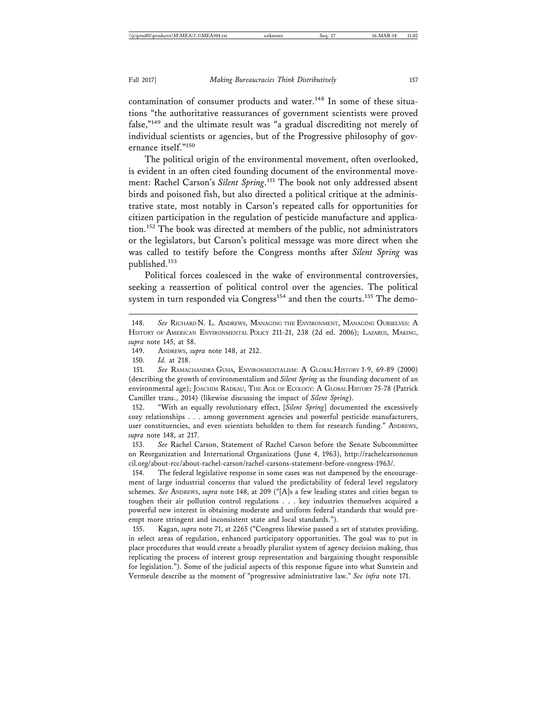contamination of consumer products and water.<sup>148</sup> In some of these situations "the authoritative reassurances of government scientists were proved false,"149 and the ultimate result was "a gradual discrediting not merely of individual scientists or agencies, but of the Progressive philosophy of governance itself."<sup>150</sup>

The political origin of the environmental movement, often overlooked, is evident in an often cited founding document of the environmental movement: Rachel Carson's *Silent Spring*. 151 The book not only addressed absent birds and poisoned fish, but also directed a political critique at the administrative state, most notably in Carson's repeated calls for opportunities for citizen participation in the regulation of pesticide manufacture and application.152 The book was directed at members of the public, not administrators or the legislators, but Carson's political message was more direct when she was called to testify before the Congress months after *Silent Spring* was published.153

Political forces coalesced in the wake of environmental controversies, seeking a reassertion of political control over the agencies. The political system in turn responded via Congress<sup>154</sup> and then the courts.<sup>155</sup> The demo-

153. *See* Rachel Carson, Statement of Rachel Carson before the Senate Subcommittee on Reorganization and International Organizations (June 4, 1963), http://rachelcarsoncoun cil.org/about-rcc/about-rachel-carson/rachel-carsons-statement-before-congress-1963/.

154. The federal legislative response in some cases was not dampened by the encouragement of large industrial concerns that valued the predictability of federal level regulatory schemes. *See* ANDREWS, *supra* note 148, at 209 ("[A]s a few leading states and cities began to toughen their air pollution control regulations . . . key industries themselves acquired a powerful new interest in obtaining moderate and uniform federal standards that would preempt more stringent and inconsistent state and local standards.").

155. Kagan, *supra* note 71, at 2265 ("Congress likewise passed a set of statutes providing, in select areas of regulation, enhanced participatory opportunities. The goal was to put in place procedures that would create a broadly pluralist system of agency decision making, thus replicating the process of interest group representation and bargaining thought responsible for legislation."). Some of the judicial aspects of this response figure into what Sunstein and Vermeule describe as the moment of "progressive administrative law." *See infra* note 171.

<sup>148.</sup> *See* RICHARD N. L. ANDREWS, MANAGING THE ENVIRONMENT, MANAGING OURSELVES: A HISTORY OF AMERICAN ENVIRONMENTAL POLICY 211-21, 238 (2d ed. 2006); LAZARUS, MAKING, *supra* note 145, at 58.

<sup>149.</sup> ANDREWS, *supra* note 148, at 212.

<sup>150.</sup> *Id.* at 218.

<sup>151.</sup> *See* RAMACHANDRA GUHA, ENVIRONMENTALISM: A GLOBAL HISTORY 1-9, 69-89 (2000) (describing the growth of environmentalism and *Silent Spring* as the founding document of an environmental age); JOACHIM RADKAU, THE AGE OF ECOLOGY: A GLOBAL HISTORY 75-78 (Patrick Camiller trans., 2014) (likewise discussing the impact of *Silent Spring*).

<sup>152. &</sup>quot;With an equally revolutionary effect, [*Silent Spring*] documented the excessively cozy relationships . . . among government agencies and powerful pesticide manufacturers, user constituencies, and even scientists beholden to them for research funding." ANDREWS, *supra* note 148, at 217.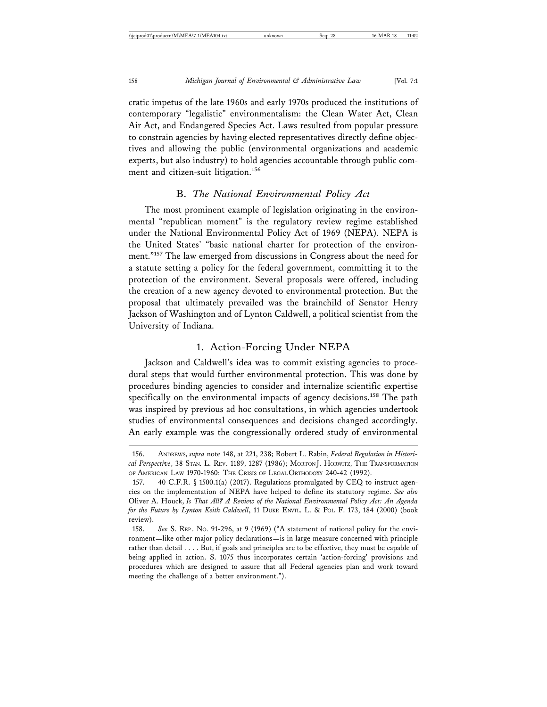cratic impetus of the late 1960s and early 1970s produced the institutions of contemporary "legalistic" environmentalism: the Clean Water Act, Clean Air Act, and Endangered Species Act. Laws resulted from popular pressure to constrain agencies by having elected representatives directly define objectives and allowing the public (environmental organizations and academic experts, but also industry) to hold agencies accountable through public comment and citizen-suit litigation.<sup>156</sup>

#### B. *The National Environmental Policy Act*

The most prominent example of legislation originating in the environmental "republican moment" is the regulatory review regime established under the National Environmental Policy Act of 1969 (NEPA). NEPA is the United States' "basic national charter for protection of the environment."157 The law emerged from discussions in Congress about the need for a statute setting a policy for the federal government, committing it to the protection of the environment. Several proposals were offered, including the creation of a new agency devoted to environmental protection. But the proposal that ultimately prevailed was the brainchild of Senator Henry Jackson of Washington and of Lynton Caldwell, a political scientist from the University of Indiana.

# 1. Action-Forcing Under NEPA

Jackson and Caldwell's idea was to commit existing agencies to procedural steps that would further environmental protection. This was done by procedures binding agencies to consider and internalize scientific expertise specifically on the environmental impacts of agency decisions.<sup>158</sup> The path was inspired by previous ad hoc consultations, in which agencies undertook studies of environmental consequences and decisions changed accordingly. An early example was the congressionally ordered study of environmental

<sup>156.</sup> ANDREWS, *supra* note 148, at 221, 238; Robert L. Rabin, *Federal Regulation in Historical Perspective*, 38 STAN. L. REV. 1189, 1287 (1986); MORTON J. HORWITZ, THE TRANSFORMATION OF AMERICAN LAW 1970-1960: THE CRISIS OF LEGAL ORTHODOXY 240-42 (1992).

<sup>157. 40</sup> C.F.R. § 1500.1(a) (2017). Regulations promulgated by CEQ to instruct agencies on the implementation of NEPA have helped to define its statutory regime. *See also* Oliver A. Houck, *Is That All? A Review of the National Environmental Policy Act: An Agenda for the Future by Lynton Keith Caldwell*, 11 DUKE ENVTL. L. & POL. F. 173, 184 (2000) (book review).

<sup>158.</sup> *See* S. REP . NO. 91-296, at 9 (1969) ("A statement of national policy for the environment—like other major policy declarations—is in large measure concerned with principle rather than detail . . . . But, if goals and principles are to be effective, they must be capable of being applied in action. S. 1075 thus incorporates certain 'action-forcing' provisions and procedures which are designed to assure that all Federal agencies plan and work toward meeting the challenge of a better environment.").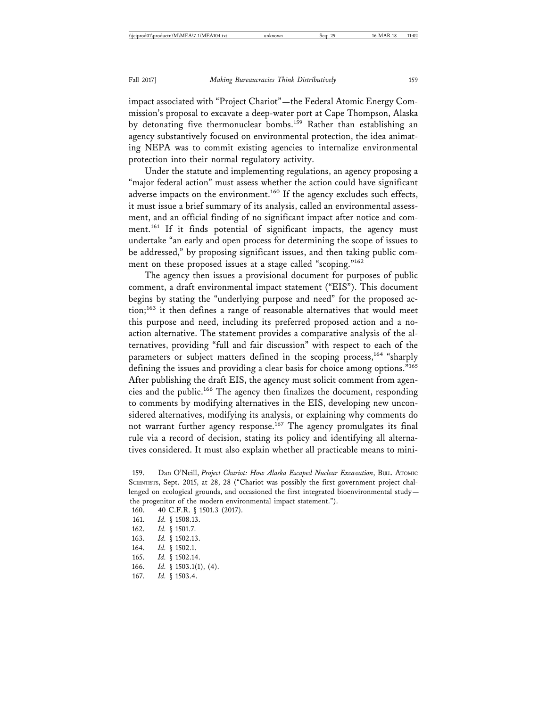impact associated with "Project Chariot"—the Federal Atomic Energy Commission's proposal to excavate a deep-water port at Cape Thompson, Alaska by detonating five thermonuclear bombs.<sup>159</sup> Rather than establishing an agency substantively focused on environmental protection, the idea animating NEPA was to commit existing agencies to internalize environmental protection into their normal regulatory activity.

Under the statute and implementing regulations, an agency proposing a "major federal action" must assess whether the action could have significant adverse impacts on the environment.<sup>160</sup> If the agency excludes such effects, it must issue a brief summary of its analysis, called an environmental assessment, and an official finding of no significant impact after notice and comment.<sup>161</sup> If it finds potential of significant impacts, the agency must undertake "an early and open process for determining the scope of issues to be addressed," by proposing significant issues, and then taking public comment on these proposed issues at a stage called "scoping."<sup>162</sup>

The agency then issues a provisional document for purposes of public comment, a draft environmental impact statement ("EIS"). This document begins by stating the "underlying purpose and need" for the proposed ac- $\mu$ <sub>163</sub> it then defines a range of reasonable alternatives that would meet this purpose and need, including its preferred proposed action and a noaction alternative. The statement provides a comparative analysis of the alternatives, providing "full and fair discussion" with respect to each of the parameters or subject matters defined in the scoping process,<sup>164</sup> "sharply defining the issues and providing a clear basis for choice among options."165 After publishing the draft EIS, the agency must solicit comment from agencies and the public.166 The agency then finalizes the document, responding to comments by modifying alternatives in the EIS, developing new unconsidered alternatives, modifying its analysis, or explaining why comments do not warrant further agency response.167 The agency promulgates its final rule via a record of decision, stating its policy and identifying all alternatives considered. It must also explain whether all practicable means to mini-

- 165. *Id.* § 1502.14.
- 166. *Id.* § 1503.1(1), (4).<br>167. *Id.* § 1503.4.

<sup>159.</sup> Dan O'Neill, *Project Chariot: How Alaska Escaped Nuclear Excavation*, BULL. ATOMIC SCIENTISTS, Sept. 2015, at 28, 28 ("Chariot was possibly the first government project challenged on ecological grounds, and occasioned the first integrated bioenvironmental study the progenitor of the modern environmental impact statement.").

<sup>160. 40</sup> C.F.R. § 1501.3 (2017).

<sup>161.</sup> *Id.* § 1508.13.

<sup>162.</sup> *Id.* § 1501.7.

<sup>163.</sup> *Id.* § 1502.13.

<sup>164.</sup> *Id.* § 1502.1.

<sup>167.</sup> *Id.* § 1503.4.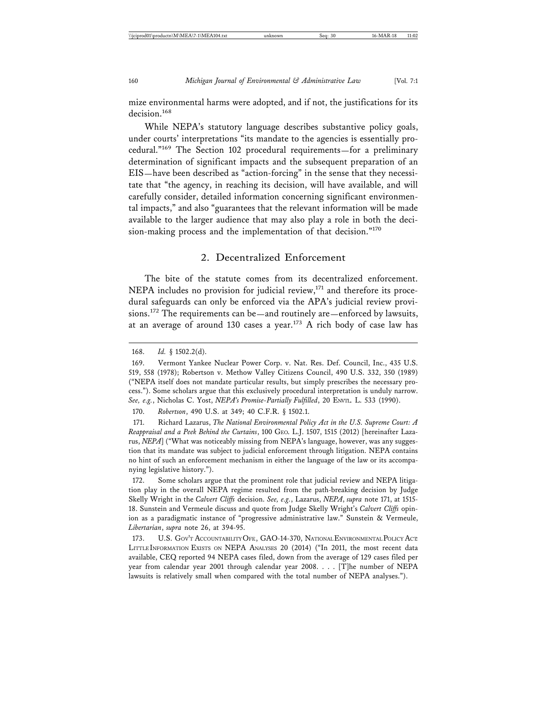mize environmental harms were adopted, and if not, the justifications for its decision.<sup>168</sup>

While NEPA's statutory language describes substantive policy goals, under courts' interpretations "its mandate to the agencies is essentially procedural."169 The Section 102 procedural requirements—for a preliminary determination of significant impacts and the subsequent preparation of an EIS—have been described as "action-forcing" in the sense that they necessitate that "the agency, in reaching its decision, will have available, and will carefully consider, detailed information concerning significant environmental impacts," and also "guarantees that the relevant information will be made available to the larger audience that may also play a role in both the decision-making process and the implementation of that decision."<sup>170</sup>

# 2. Decentralized Enforcement

The bite of the statute comes from its decentralized enforcement. NEPA includes no provision for judicial review, $^{171}$  and therefore its procedural safeguards can only be enforced via the APA's judicial review provisions.172 The requirements can be—and routinely are—enforced by lawsuits, at an average of around 130 cases a year.<sup>173</sup> A rich body of case law has

170. *Robertson*, 490 U.S. at 349; 40 C.F.R. § 1502.1.

171. Richard Lazarus, *The National Environmental Policy Act in the U.S. Supreme Court: A Reappraisal and a Peek Behind the Curtains*, 100 GEO. L.J. 1507, 1515 (2012) [hereinafter Lazarus, *NEPA*] ("What was noticeably missing from NEPA's language, however, was any suggestion that its mandate was subject to judicial enforcement through litigation. NEPA contains no hint of such an enforcement mechanism in either the language of the law or its accompanying legislative history.").

172. Some scholars argue that the prominent role that judicial review and NEPA litigation play in the overall NEPA regime resulted from the path-breaking decision by Judge Skelly Wright in the *Calvert Cliffs* decision. *See, e.g.*, Lazarus, *NEPA*, *supra* note 171, at 1515- 18. Sunstein and Vermeule discuss and quote from Judge Skelly Wright's *Calvert Cliffs* opinion as a paradigmatic instance of "progressive administrative law." Sunstein & Vermeule, *Libertarian*, *supra* note 26, at 394-95.

173. U.S. GOV'T ACCOUNTABILITY OFF., GAO-14-370, NATIONAL ENVIRONMENTAL POLICY ACT: LITTLE INFORMATION EXISTS ON NEPA ANALYSES 20 (2014) ("In 2011, the most recent data available, CEQ reported 94 NEPA cases filed, down from the average of 129 cases filed per year from calendar year 2001 through calendar year 2008. . . . [T]he number of NEPA lawsuits is relatively small when compared with the total number of NEPA analyses.").

<sup>168.</sup> *Id.* § 1502.2(d).

<sup>169.</sup> Vermont Yankee Nuclear Power Corp. v. Nat. Res. Def. Council, Inc., 435 U.S. 519, 558 (1978); Robertson v. Methow Valley Citizens Council, 490 U.S. 332, 350 (1989) ("NEPA itself does not mandate particular results, but simply prescribes the necessary process."). Some scholars argue that this exclusively procedural interpretation is unduly narrow. *See, e.g.*, Nicholas C. Yost, *NEPA's Promise-Partially Fulfilled*, 20 ENVTL. L. 533 (1990).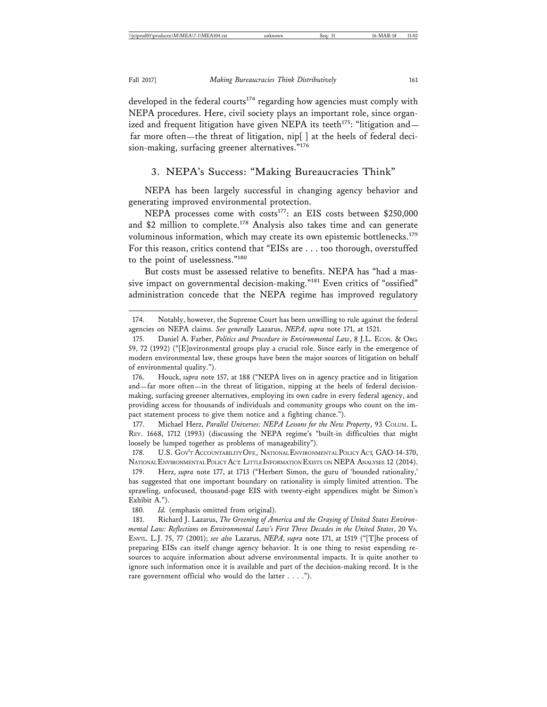developed in the federal courts<sup>174</sup> regarding how agencies must comply with NEPA procedures. Here, civil society plays an important role, since organized and frequent litigation have given NEPA its teeth<sup>175</sup>: "litigation and far more often—the threat of litigation, nip[ ] at the heels of federal decision-making, surfacing greener alternatives."<sup>176</sup>

#### 3. NEPA's Success: "Making Bureaucracies Think"

NEPA has been largely successful in changing agency behavior and generating improved environmental protection.

NEPA processes come with costs<sup>177</sup>: an EIS costs between \$250,000 and \$2 million to complete.<sup>178</sup> Analysis also takes time and can generate voluminous information, which may create its own epistemic bottlenecks.<sup>179</sup> For this reason, critics contend that "EISs are . . . too thorough, overstuffed to the point of uselessness."<sup>180</sup>

But costs must be assessed relative to benefits. NEPA has "had a massive impact on governmental decision-making."<sup>181</sup> Even critics of "ossified" administration concede that the NEPA regime has improved regulatory

176. Houck, *supra* note 157, at 188 ("NEPA lives on in agency practice and in litigation and—far more often—in the threat of litigation, nipping at the heels of federal decisionmaking, surfacing greener alternatives, employing its own cadre in every federal agency, and providing access for thousands of individuals and community groups who count on the impact statement process to give them notice and a fighting chance.").

177. Michael Herz, *Parallel Universes: NEPA Lessons for the New Property*, 93 COLUM. L. REV. 1668, 1712 (1993) (discussing the NEPA regime's "built-in difficulties that might loosely be lumped together as problems of manageability").

178. U.S. GOV'T ACCOUNTABILITY OFF., NATIONAL ENVIRONMENTAL POLICY ACT, GAO-14-370, NATIONAL ENVIRONMENTAL POLICY ACT: LITTLE INFORMATION EXISTS ON NEPA ANALYSES 12 (2014).

179. Herz, *supra* note 177, at 1713 ("Herbert Simon, the guru of 'bounded rationality,' has suggested that one important boundary on rationality is simply limited attention. The sprawling, unfocused, thousand-page EIS with twenty-eight appendices might be Simon's Exhibit A.").

180. *Id.* (emphasis omitted from original).

181. Richard J. Lazarus, *The Greening of America and the Graying of United States Environmental Law: Reflections on Environmental Law's First Three Decades in the United States*, 20 VA. ENVTL. L.J. 75, 77 (2001); *see also* Lazarus, *NEPA*, *supra* note 171, at 1519 ("[T]he process of preparing EISs can itself change agency behavior. It is one thing to resist expending resources to acquire information about adverse environmental impacts. It is quite another to ignore such information once it is available and part of the decision-making record. It is the rare government official who would do the latter . . . .").

<sup>174.</sup> Notably, however, the Supreme Court has been unwilling to rule against the federal agencies on NEPA claims. *See generally* Lazarus, *NEPA*, *supra* note 171, at 1521.

<sup>175.</sup> Daniel A. Farber, *Politics and Procedure in Environmental Law*, 8 J.L. ECON. & ORG. 59, 72 (1992) ("[E]nvironmental groups play a crucial role. Since early in the emergence of modern environmental law, these groups have been the major sources of litigation on behalf of environmental quality.").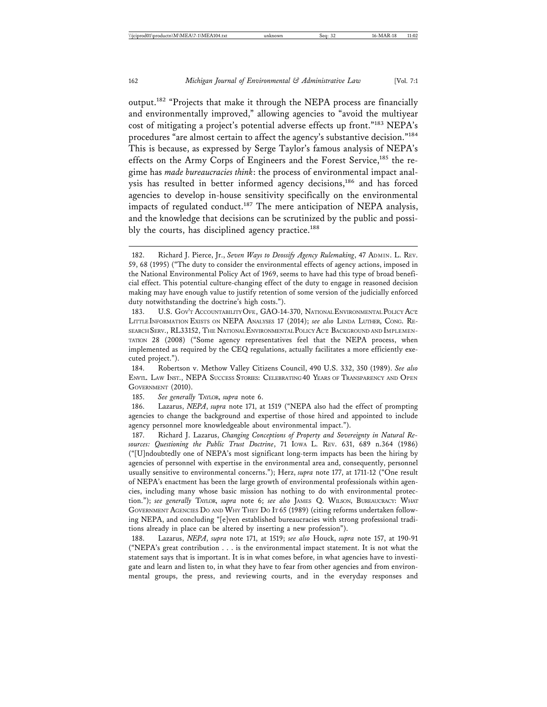output.182 "Projects that make it through the NEPA process are financially and environmentally improved," allowing agencies to "avoid the multiyear cost of mitigating a project's potential adverse effects up front."183 NEPA's procedures "are almost certain to affect the agency's substantive decision."<sup>184</sup> This is because, as expressed by Serge Taylor's famous analysis of NEPA's effects on the Army Corps of Engineers and the Forest Service,<sup>185</sup> the regime has *made bureaucracies think*: the process of environmental impact analysis has resulted in better informed agency decisions,<sup>186</sup> and has forced agencies to develop in-house sensitivity specifically on the environmental impacts of regulated conduct.<sup>187</sup> The mere anticipation of NEPA analysis, and the knowledge that decisions can be scrutinized by the public and possibly the courts, has disciplined agency practice.<sup>188</sup>

<sup>182.</sup> Richard J. Pierce, Jr., *Seven Ways to Deossify Agency Rulemaking*, 47 ADMIN. L. REV. 59, 68 (1995) ("The duty to consider the environmental effects of agency actions, imposed in the National Environmental Policy Act of 1969, seems to have had this type of broad beneficial effect. This potential culture-changing effect of the duty to engage in reasoned decision making may have enough value to justify retention of some version of the judicially enforced duty notwithstanding the doctrine's high costs.").

<sup>183.</sup> U.S. GOV'T ACCOUNTABILITY OFF., GAO-14-370, NATIONAL ENVIRONMENTAL POLICY ACT: LITTLE INFORMATION EXISTS ON NEPA ANALYSES 17 (2014); *see also* LINDA LUTHER, CONG. RE-SEARCH SERV., RL33152, THE NATIONAL ENVIRONMENTAL POLICY ACT: BACKGROUND AND IMPLEMEN-TATION 28 (2008) ("Some agency representatives feel that the NEPA process, when implemented as required by the CEQ regulations, actually facilitates a more efficiently executed project.").

<sup>184.</sup> Robertson v. Methow Valley Citizens Council, 490 U.S. 332, 350 (1989). *See also* ENVTL. LAW INST., NEPA SUCCESS STORIES: CELEBRATING 40 YEARS OF TRANSPARENCY AND OPEN GOVERNMENT (2010).

<sup>185.</sup> *See generally* TAYLOR, *supra* note 6.

<sup>186.</sup> Lazarus, *NEPA*, *supra* note 171, at 1519 ("NEPA also had the effect of prompting agencies to change the background and expertise of those hired and appointed to include agency personnel more knowledgeable about environmental impact.").

<sup>187.</sup> Richard J. Lazarus, *Changing Conceptions of Property and Sovereignty in Natural Resources: Questioning the Public Trust Doctrine*, 71 IOWA L. REV. 631, 689 n.364 (1986) ("[U]ndoubtedly one of NEPA's most significant long-term impacts has been the hiring by agencies of personnel with expertise in the environmental area and, consequently, personnel usually sensitive to environmental concerns."); Herz, *supra* note 177, at 1711-12 ("One result of NEPA's enactment has been the large growth of environmental professionals within agencies, including many whose basic mission has nothing to do with environmental protection."); *see generally* TAYLOR, *supra* note 6; *see also* JAMES Q. WILSON, BUREAUCRACY: WHAT GOVERNMENT AGENCIES DO AND WHY THEY DO IT 65 (1989) (citing reforms undertaken following NEPA, and concluding "[e]ven established bureaucracies with strong professional traditions already in place can be altered by inserting a new profession").

<sup>188.</sup> Lazarus, *NEPA*, *supra* note 171, at 1519; *see also* Houck, *supra* note 157, at 190-91 ("NEPA's great contribution . . . is the environmental impact statement. It is not what the statement says that is important. It is in what comes before, in what agencies have to investigate and learn and listen to, in what they have to fear from other agencies and from environmental groups, the press, and reviewing courts, and in the everyday responses and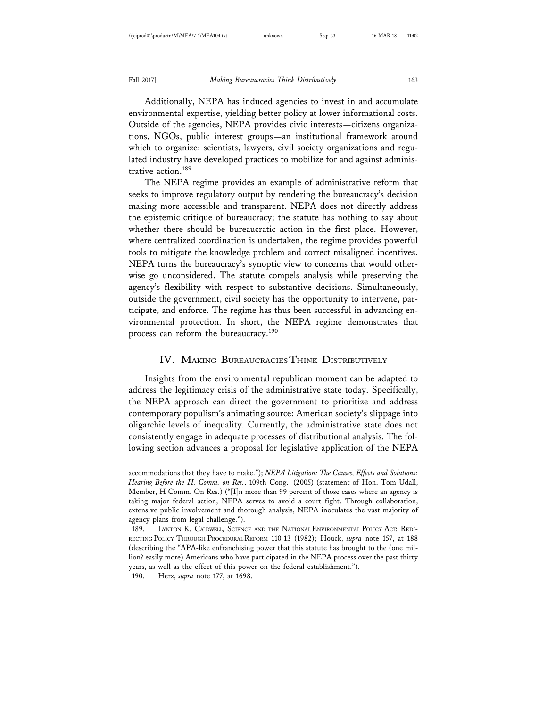Additionally, NEPA has induced agencies to invest in and accumulate environmental expertise, yielding better policy at lower informational costs. Outside of the agencies, NEPA provides civic interests—citizens organizations, NGOs, public interest groups—an institutional framework around which to organize: scientists, lawyers, civil society organizations and regulated industry have developed practices to mobilize for and against administrative action.<sup>189</sup>

The NEPA regime provides an example of administrative reform that seeks to improve regulatory output by rendering the bureaucracy's decision making more accessible and transparent. NEPA does not directly address the epistemic critique of bureaucracy; the statute has nothing to say about whether there should be bureaucratic action in the first place. However, where centralized coordination is undertaken, the regime provides powerful tools to mitigate the knowledge problem and correct misaligned incentives. NEPA turns the bureaucracy's synoptic view to concerns that would otherwise go unconsidered. The statute compels analysis while preserving the agency's flexibility with respect to substantive decisions. Simultaneously, outside the government, civil society has the opportunity to intervene, participate, and enforce. The regime has thus been successful in advancing environmental protection. In short, the NEPA regime demonstrates that process can reform the bureaucracy.<sup>190</sup>

# IV. MAKING BUREAUCRACIES THINK DISTRIBUTIVELY

Insights from the environmental republican moment can be adapted to address the legitimacy crisis of the administrative state today. Specifically, the NEPA approach can direct the government to prioritize and address contemporary populism's animating source: American society's slippage into oligarchic levels of inequality. Currently, the administrative state does not consistently engage in adequate processes of distributional analysis. The following section advances a proposal for legislative application of the NEPA

accommodations that they have to make."); *NEPA Litigation: The Causes, Effects and Solutions: Hearing Before the H. Comm. on Res.*, 109th Cong. (2005) (statement of Hon. Tom Udall, Member, H Comm. On Res.) ("[I]n more than 99 percent of those cases where an agency is taking major federal action, NEPA serves to avoid a court fight. Through collaboration, extensive public involvement and thorough analysis, NEPA inoculates the vast majority of agency plans from legal challenge.").

<sup>189.</sup> LYNTON K. CALDWELL, SCIENCE AND THE NATIONAL ENVIRONMENTAL POLICY ACT. REDI-RECTING POLICY THROUGH PROCEDURAL REFORM 110-13 (1982); Houck, *supra* note 157, at 188 (describing the "APA-like enfranchising power that this statute has brought to the (one million? easily more) Americans who have participated in the NEPA process over the past thirty years, as well as the effect of this power on the federal establishment.").

<sup>190.</sup> Herz, *supra* note 177, at 1698.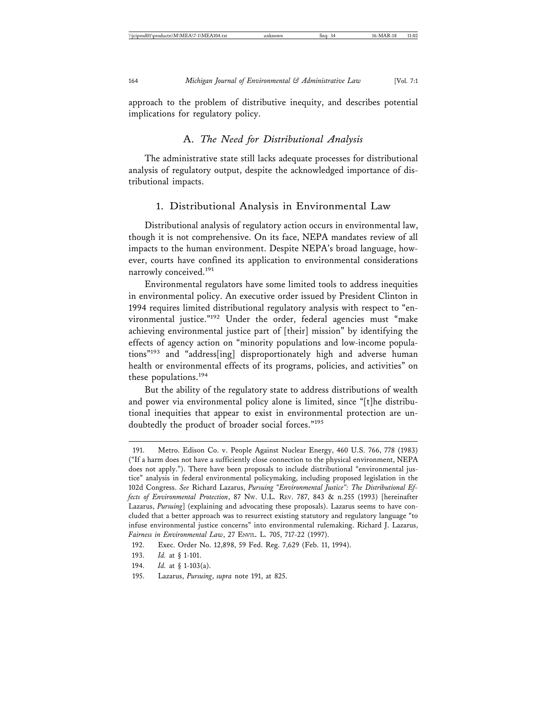approach to the problem of distributive inequity, and describes potential implications for regulatory policy.

#### A. *The Need for Distributional Analysis*

The administrative state still lacks adequate processes for distributional analysis of regulatory output, despite the acknowledged importance of distributional impacts.

#### 1. Distributional Analysis in Environmental Law

Distributional analysis of regulatory action occurs in environmental law, though it is not comprehensive. On its face, NEPA mandates review of all impacts to the human environment. Despite NEPA's broad language, however, courts have confined its application to environmental considerations narrowly conceived.<sup>191</sup>

Environmental regulators have some limited tools to address inequities in environmental policy. An executive order issued by President Clinton in 1994 requires limited distributional regulatory analysis with respect to "environmental justice."192 Under the order, federal agencies must "make achieving environmental justice part of [their] mission" by identifying the effects of agency action on "minority populations and low-income populations"193 and "address[ing] disproportionately high and adverse human health or environmental effects of its programs, policies, and activities" on these populations.<sup>194</sup>

But the ability of the regulatory state to address distributions of wealth and power via environmental policy alone is limited, since "[t]he distributional inequities that appear to exist in environmental protection are undoubtedly the product of broader social forces."<sup>195</sup>

<sup>191.</sup> Metro. Edison Co. v. People Against Nuclear Energy, 460 U.S. 766, 778 (1983) ("If a harm does not have a sufficiently close connection to the physical environment, NEPA does not apply."). There have been proposals to include distributional "environmental justice" analysis in federal environmental policymaking, including proposed legislation in the 102d Congress. *See* Richard Lazarus, *Pursuing "Environmental Justice": The Distributional Effects of Environmental Protection*, 87 NW. U.L. REV. 787, 843 & n.255 (1993) [hereinafter Lazarus, *Pursuing*] (explaining and advocating these proposals). Lazarus seems to have concluded that a better approach was to resurrect existing statutory and regulatory language "to infuse environmental justice concerns" into environmental rulemaking. Richard J. Lazarus, *Fairness in Environmental Law*, 27 ENVTL. L. 705, 717-22 (1997).

<sup>192.</sup> Exec. Order No. 12,898, 59 Fed. Reg. 7,629 (Feb. 11, 1994).

<sup>193.</sup> *Id.* at § 1-101.

<sup>194.</sup> *Id.* at § 1-103(a).

<sup>195.</sup> Lazarus, *Pursuing*, *supra* note 191, at 825.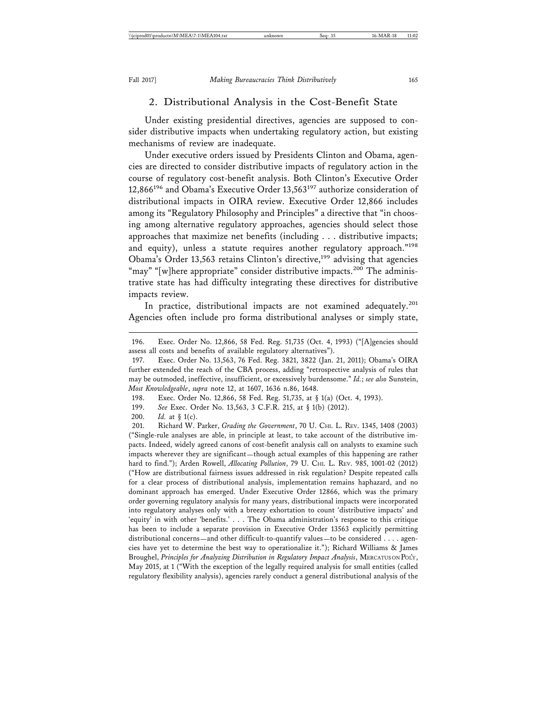#### 2. Distributional Analysis in the Cost-Benefit State

Under existing presidential directives, agencies are supposed to consider distributive impacts when undertaking regulatory action, but existing mechanisms of review are inadequate.

Under executive orders issued by Presidents Clinton and Obama, agencies are directed to consider distributive impacts of regulatory action in the course of regulatory cost-benefit analysis. Both Clinton's Executive Order 12,866<sup>196</sup> and Obama's Executive Order  $13,563^{197}$  authorize consideration of distributional impacts in OIRA review. Executive Order 12,866 includes among its "Regulatory Philosophy and Principles" a directive that "in choosing among alternative regulatory approaches, agencies should select those approaches that maximize net benefits (including . . . distributive impacts; and equity), unless a statute requires another regulatory approach."<sup>198</sup> Obama's Order 13,563 retains Clinton's directive,<sup>199</sup> advising that agencies "may" "[w]here appropriate" consider distributive impacts.<sup>200</sup> The administrative state has had difficulty integrating these directives for distributive impacts review.

In practice, distributional impacts are not examined adequately.<sup>201</sup> Agencies often include pro forma distributional analyses or simply state,

198. Exec. Order No. 12,866, 58 Fed. Reg. 51,735, at § 1(a) (Oct. 4, 1993).

201. Richard W. Parker, *Grading the Government*, 70 U. CHI. L. REV. 1345, 1408 (2003) ("Single-rule analyses are able, in principle at least, to take account of the distributive impacts. Indeed, widely agreed canons of cost-benefit analysis call on analysts to examine such impacts wherever they are significant—though actual examples of this happening are rather hard to find."); Arden Rowell, *Allocating Pollution*, 79 U. CHI. L. REV. 985, 1001-02 (2012) ("How are distributional fairness issues addressed in risk regulation? Despite repeated calls for a clear process of distributional analysis, implementation remains haphazard, and no dominant approach has emerged. Under Executive Order 12866, which was the primary order governing regulatory analysis for many years, distributional impacts were incorporated into regulatory analyses only with a breezy exhortation to count 'distributive impacts' and 'equity' in with other 'benefits.' . . . The Obama administration's response to this critique has been to include a separate provision in Executive Order 13563 explicitly permitting distributional concerns—and other difficult-to-quantify values—to be considered . . . . agencies have yet to determine the best way to operationalize it."); Richard Williams & James Broughel, *Principles for Analyzing Distribution in Regulatory Impact Analysis*, MERCATUS ON POL'Y, May 2015, at 1 ("With the exception of the legally required analysis for small entities (called regulatory flexibility analysis), agencies rarely conduct a general distributional analysis of the

<sup>196.</sup> Exec. Order No. 12,866, 58 Fed. Reg. 51,735 (Oct. 4, 1993) ("[A]gencies should assess all costs and benefits of available regulatory alternatives").

<sup>197.</sup> Exec. Order No. 13,563, 76 Fed. Reg. 3821, 3822 (Jan. 21, 2011); Obama's OIRA further extended the reach of the CBA process, adding "retrospective analysis of rules that may be outmoded, ineffective, insufficient, or excessively burdensome." *Id.*; *see also* Sunstein, *Most Knowledgeable*, *supra* note 12, at 1607, 1636 n.86, 1648.

<sup>199.</sup> *See* Exec. Order No. 13,563, 3 C.F.R. 215, at § 1(b) (2012).

<sup>200.</sup> *Id.* at § 1(c).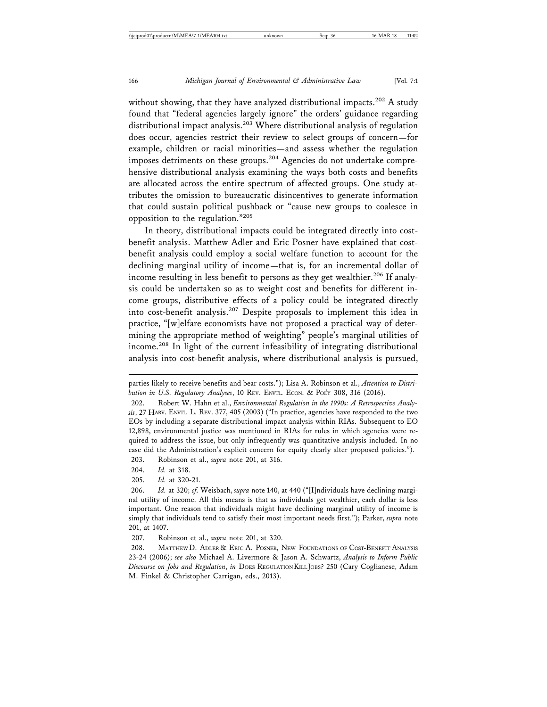without showing, that they have analyzed distributional impacts.<sup>202</sup> A study found that "federal agencies largely ignore" the orders' guidance regarding distributional impact analysis.203 Where distributional analysis of regulation does occur, agencies restrict their review to select groups of concern—for example, children or racial minorities—and assess whether the regulation imposes detriments on these groups.<sup>204</sup> Agencies do not undertake comprehensive distributional analysis examining the ways both costs and benefits are allocated across the entire spectrum of affected groups. One study attributes the omission to bureaucratic disincentives to generate information that could sustain political pushback or "cause new groups to coalesce in opposition to the regulation."<sup>205</sup>

In theory, distributional impacts could be integrated directly into costbenefit analysis. Matthew Adler and Eric Posner have explained that costbenefit analysis could employ a social welfare function to account for the declining marginal utility of income—that is, for an incremental dollar of income resulting in less benefit to persons as they get wealthier.<sup>206</sup> If analysis could be undertaken so as to weight cost and benefits for different income groups, distributive effects of a policy could be integrated directly into cost-benefit analysis.207 Despite proposals to implement this idea in practice, "[w]elfare economists have not proposed a practical way of determining the appropriate method of weighting" people's marginal utilities of income.208 In light of the current infeasibility of integrating distributional analysis into cost-benefit analysis, where distributional analysis is pursued,

204. *Id.* at 318.

205. *Id.* at 320-21.

parties likely to receive benefits and bear costs."); Lisa A. Robinson et al., *Attention to Distribution in U.S. Regulatory Analyses*, 10 REV. ENVTL. ECON. & POL'Y 308, 316 (2016).

<sup>202.</sup> Robert W. Hahn et al., *Environmental Regulation in the 1990s: A Retrospective Analysis*, 27 HARV. ENVTL. L. REV. 377, 405 (2003) ("In practice, agencies have responded to the two EOs by including a separate distributional impact analysis within RIAs. Subsequent to EO 12,898, environmental justice was mentioned in RIAs for rules in which agencies were required to address the issue, but only infrequently was quantitative analysis included. In no case did the Administration's explicit concern for equity clearly alter proposed policies."). 203. Robinson et al., *supra* note 201, at 316.

<sup>206.</sup> *Id.* at 320; *cf.* Weisbach, *supra* note 140, at 440 ("[I]ndividuals have declining marginal utility of income. All this means is that as individuals get wealthier, each dollar is less important. One reason that individuals might have declining marginal utility of income is simply that individuals tend to satisfy their most important needs first."); Parker, *supra* note 201, at 1407.

<sup>207.</sup> Robinson et al., *supra* note 201, at 320.

<sup>208.</sup> MATTHEW D. ADLER & ERIC A. POSNER, NEW FOUNDATIONS OF COST-BENEFIT ANALYSIS 23-24 (2006); *see also* Michael A. Livermore & Jason A. Schwartz, *Analysis to Inform Public Discourse on Jobs and Regulation*, *in* DOES REGULATION KILL JOBS? 250 (Cary Coglianese, Adam M. Finkel & Christopher Carrigan, eds., 2013).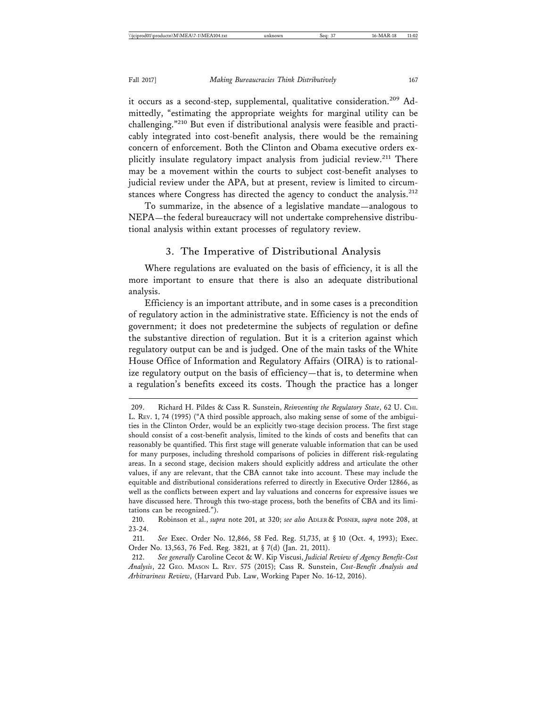it occurs as a second-step, supplemental, qualitative consideration.<sup>209</sup> Admittedly, "estimating the appropriate weights for marginal utility can be challenging."210 But even if distributional analysis were feasible and practicably integrated into cost-benefit analysis, there would be the remaining concern of enforcement. Both the Clinton and Obama executive orders explicitly insulate regulatory impact analysis from judicial review.<sup>211</sup> There may be a movement within the courts to subject cost-benefit analyses to judicial review under the APA, but at present, review is limited to circumstances where Congress has directed the agency to conduct the analysis.<sup>212</sup>

To summarize, in the absence of a legislative mandate—analogous to NEPA—the federal bureaucracy will not undertake comprehensive distributional analysis within extant processes of regulatory review.

#### 3. The Imperative of Distributional Analysis

Where regulations are evaluated on the basis of efficiency, it is all the more important to ensure that there is also an adequate distributional analysis.

Efficiency is an important attribute, and in some cases is a precondition of regulatory action in the administrative state. Efficiency is not the ends of government; it does not predetermine the subjects of regulation or define the substantive direction of regulation. But it is a criterion against which regulatory output can be and is judged. One of the main tasks of the White House Office of Information and Regulatory Affairs (OIRA) is to rationalize regulatory output on the basis of efficiency—that is, to determine when a regulation's benefits exceed its costs. Though the practice has a longer

210. Robinson et al., *supra* note 201, at 320; *see also* ADLER & POSNER, *supra* note 208, at 23-24.

212. *See generally* Caroline Cecot & W. Kip Viscusi, *Judicial Review of Agency Benefit-Cost Analysis*, 22 GEO. MASON L. REV. 575 (2015); Cass R. Sunstein, *Cost-Benefit Analysis and Arbitrariness Review*, (Harvard Pub. Law, Working Paper No. 16-12, 2016).

<sup>209.</sup> Richard H. Pildes & Cass R. Sunstein, *Reinventing the Regulatory State*, 62 U. CHI. L. REV. 1, 74 (1995) ("A third possible approach, also making sense of some of the ambiguities in the Clinton Order, would be an explicitly two-stage decision process. The first stage should consist of a cost-benefit analysis, limited to the kinds of costs and benefits that can reasonably be quantified. This first stage will generate valuable information that can be used for many purposes, including threshold comparisons of policies in different risk-regulating areas. In a second stage, decision makers should explicitly address and articulate the other values, if any are relevant, that the CBA cannot take into account. These may include the equitable and distributional considerations referred to directly in Executive Order 12866, as well as the conflicts between expert and lay valuations and concerns for expressive issues we have discussed here. Through this two-stage process, both the benefits of CBA and its limitations can be recognized.").

<sup>211.</sup> *See* Exec. Order No. 12,866, 58 Fed. Reg. 51,735, at § 10 (Oct. 4, 1993); Exec. Order No. 13,563, 76 Fed. Reg. 3821, at § 7(d) (Jan. 21, 2011).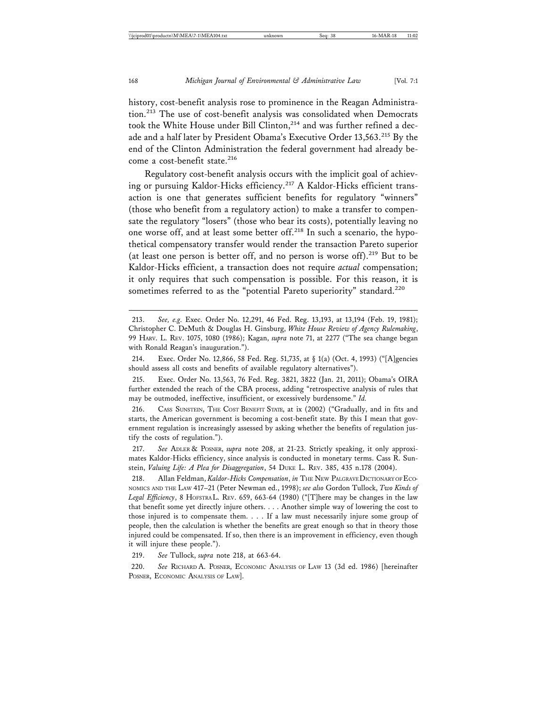history, cost-benefit analysis rose to prominence in the Reagan Administration.213 The use of cost-benefit analysis was consolidated when Democrats took the White House under Bill Clinton,<sup>214</sup> and was further refined a decade and a half later by President Obama's Executive Order 13,563.215 By the end of the Clinton Administration the federal government had already become a cost-benefit state.<sup>216</sup>

Regulatory cost-benefit analysis occurs with the implicit goal of achieving or pursuing Kaldor-Hicks efficiency.<sup>217</sup> A Kaldor-Hicks efficient transaction is one that generates sufficient benefits for regulatory "winners" (those who benefit from a regulatory action) to make a transfer to compensate the regulatory "losers" (those who bear its costs), potentially leaving no one worse off, and at least some better off.<sup>218</sup> In such a scenario, the hypothetical compensatory transfer would render the transaction Pareto superior (at least one person is better off, and no person is worse off).<sup>219</sup> But to be Kaldor-Hicks efficient, a transaction does not require *actual* compensation; it only requires that such compensation is possible. For this reason, it is sometimes referred to as the "potential Pareto superiority" standard.<sup>220</sup>

217. *See* ADLER & POSNER, *supra* note 208, at 21-23. Strictly speaking, it only approximates Kaldor-Hicks efficiency, since analysis is conducted in monetary terms. Cass R. Sunstein, *Valuing Life: A Plea for Disaggregation*, 54 DUKE L. REV. 385, 435 n.178 (2004).

218. Allan Feldman, *Kaldor-Hicks Compensation*, *in* THE NEW PALGRAVE DICTIONARY OF ECO-NOMICS AND THE LAW 417–21 (Peter Newman ed., 1998); *see also* Gordon Tullock, *Two Kinds of* Legal Efficiency, 8 HOFSTRAL. REV. 659, 663-64 (1980) ("[T]here may be changes in the law that benefit some yet directly injure others. . . . Another simple way of lowering the cost to those injured is to compensate them. . . . If a law must necessarily injure some group of people, then the calculation is whether the benefits are great enough so that in theory those injured could be compensated. If so, then there is an improvement in efficiency, even though it will injure these people.").

219. *See* Tullock, *supra* note 218, at 663-64.

220. *See* RICHARD A. POSNER, ECONOMIC ANALYSIS OF LAW 13 (3d ed. 1986) [hereinafter POSNER, ECONOMIC ANALYSIS OF LAW].

<sup>213.</sup> *See, e.g.* Exec. Order No. 12,291, 46 Fed. Reg. 13,193, at 13,194 (Feb. 19, 1981); Christopher C. DeMuth & Douglas H. Ginsburg, *White House Review of Agency Rulemaking*, 99 HARV. L. REV. 1075, 1080 (1986); Kagan, *supra* note 71, at 2277 ("The sea change began with Ronald Reagan's inauguration.").

<sup>214.</sup> Exec. Order No. 12,866, 58 Fed. Reg. 51,735, at § 1(a) (Oct. 4, 1993) ("[A]gencies should assess all costs and benefits of available regulatory alternatives").

<sup>215.</sup> Exec. Order No. 13,563, 76 Fed. Reg. 3821, 3822 (Jan. 21, 2011); Obama's OIRA further extended the reach of the CBA process, adding "retrospective analysis of rules that may be outmoded, ineffective, insufficient, or excessively burdensome." *Id.*

<sup>216.</sup> CASS SUNSTEIN, THE COST BENEFIT STATE, at ix (2002) ("Gradually, and in fits and starts, the American government is becoming a cost-benefit state. By this I mean that government regulation is increasingly assessed by asking whether the benefits of regulation justify the costs of regulation.").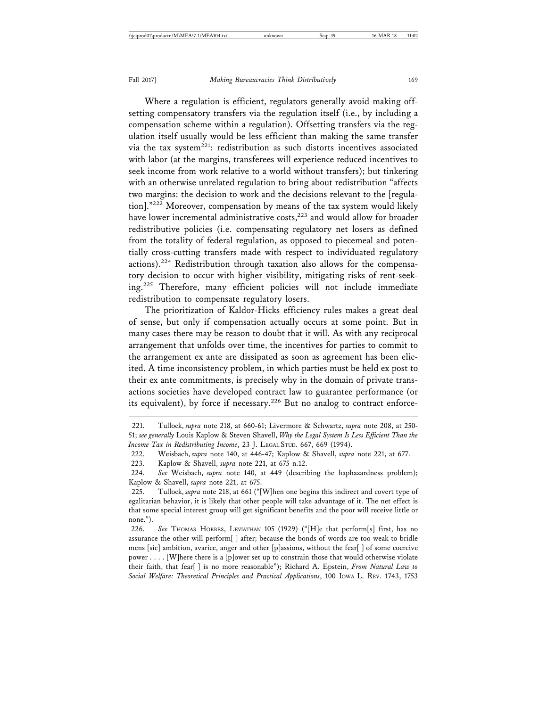Where a regulation is efficient, regulators generally avoid making offsetting compensatory transfers via the regulation itself (i.e., by including a compensation scheme within a regulation). Offsetting transfers via the regulation itself usually would be less efficient than making the same transfer via the tax system $^{221}$ : redistribution as such distorts incentives associated with labor (at the margins, transferees will experience reduced incentives to seek income from work relative to a world without transfers); but tinkering with an otherwise unrelated regulation to bring about redistribution "affects two margins: the decision to work and the decisions relevant to the [regulation]."222 Moreover, compensation by means of the tax system would likely have lower incremental administrative costs,<sup>223</sup> and would allow for broader redistributive policies (i.e. compensating regulatory net losers as defined from the totality of federal regulation, as opposed to piecemeal and potentially cross-cutting transfers made with respect to individuated regulatory actions).224 Redistribution through taxation also allows for the compensatory decision to occur with higher visibility, mitigating risks of rent-seeking.225 Therefore, many efficient policies will not include immediate redistribution to compensate regulatory losers.

The prioritization of Kaldor-Hicks efficiency rules makes a great deal of sense, but only if compensation actually occurs at some point. But in many cases there may be reason to doubt that it will. As with any reciprocal arrangement that unfolds over time, the incentives for parties to commit to the arrangement ex ante are dissipated as soon as agreement has been elicited. A time inconsistency problem, in which parties must be held ex post to their ex ante commitments, is precisely why in the domain of private transactions societies have developed contract law to guarantee performance (or its equivalent), by force if necessary.<sup>226</sup> But no analog to contract enforce-

223. Kaplow & Shavell, *supra* note 221, at 675 n.12.

<sup>221.</sup> Tullock, *supra* note 218, at 660-61; Livermore & Schwartz, *supra* note 208, at 250- 51; *see generally* Louis Kaplow & Steven Shavell, *Why the Legal System Is Less Efficient Than the Income Tax in Redistributing Income*, 23 J. LEGAL STUD. 667, 669 (1994).

<sup>222.</sup> Weisbach, *supra* note 140, at 446-47; Kaplow & Shavell, *supra* note 221, at 677.

<sup>224.</sup> *See* Weisbach, *supra* note 140, at 449 (describing the haphazardness problem); Kaplow & Shavell, *supra* note 221, at 675.

<sup>225.</sup> Tullock, *supra* note 218, at 661 ("[W]hen one begins this indirect and covert type of egalitarian behavior, it is likely that other people will take advantage of it. The net effect is that some special interest group will get significant benefits and the poor will receive little or none.").

<sup>226.</sup> *See* THOMAS HOBBES, LEVIATHAN 105 (1929) ("[H]e that perform[s] first, has no assurance the other will perform[ ] after; because the bonds of words are too weak to bridle mens [sic] ambition, avarice, anger and other [p]assions, without the fear[ ] of some coercive power . . . . [W]here there is a [p]ower set up to constrain those that would otherwise violate their faith, that fear[ ] is no more reasonable"); Richard A. Epstein, *From Natural Law to Social Welfare: Theoretical Principles and Practical Applications*, 100 IOWA L. REV. 1743, 1753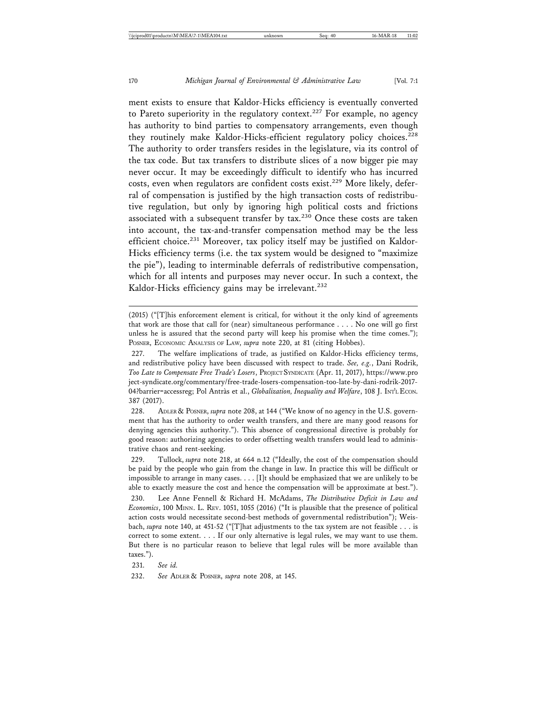ment exists to ensure that Kaldor-Hicks efficiency is eventually converted to Pareto superiority in the regulatory context.<sup>227</sup> For example, no agency has authority to bind parties to compensatory arrangements, even though they routinely make Kaldor-Hicks-efficient regulatory policy choices.<sup>228</sup> The authority to order transfers resides in the legislature, via its control of the tax code. But tax transfers to distribute slices of a now bigger pie may never occur. It may be exceedingly difficult to identify who has incurred costs, even when regulators are confident costs exist.<sup>229</sup> More likely, deferral of compensation is justified by the high transaction costs of redistributive regulation, but only by ignoring high political costs and frictions associated with a subsequent transfer by tax.<sup>230</sup> Once these costs are taken into account, the tax-and-transfer compensation method may be the less efficient choice.<sup>231</sup> Moreover, tax policy itself may be justified on Kaldor-Hicks efficiency terms (i.e. the tax system would be designed to "maximize the pie"), leading to interminable deferrals of redistributive compensation, which for all intents and purposes may never occur. In such a context, the Kaldor-Hicks efficiency gains may be irrelevant.<sup>232</sup>

228. ADLER & POSNER, *supra* note 208, at 144 ("We know of no agency in the U.S. government that has the authority to order wealth transfers, and there are many good reasons for denying agencies this authority."). This absence of congressional directive is probably for good reason: authorizing agencies to order offsetting wealth transfers would lead to administrative chaos and rent-seeking.

229. Tullock, *supra* note 218, at 664 n.12 ("Ideally, the cost of the compensation should be paid by the people who gain from the change in law. In practice this will be difficult or impossible to arrange in many cases.  $\dots$  [I]t should be emphasized that we are unlikely to be able to exactly measure the cost and hence the compensation will be approximate at best.").

230. Lee Anne Fennell & Richard H. McAdams, *The Distributive Deficit in Law and Economics*, 100 MINN. L. REV. 1051, 1055 (2016) ("It is plausible that the presence of political action costs would necessitate second-best methods of governmental redistribution"); Weisbach, *supra* note 140, at 451-52 ("[T]hat adjustments to the tax system are not feasible . . . is correct to some extent. . . . If our only alternative is legal rules, we may want to use them. But there is no particular reason to believe that legal rules will be more available than taxes.").

231. *See id.*

<sup>(2015) (&</sup>quot;[T]his enforcement element is critical, for without it the only kind of agreements that work are those that call for (near) simultaneous performance . . . . No one will go first unless he is assured that the second party will keep his promise when the time comes."); POSNER, ECONOMIC ANALYSIS OF LAW, *supra* note 220, at 81 (citing Hobbes).

<sup>227.</sup> The welfare implications of trade, as justified on Kaldor-Hicks efficiency terms, and redistributive policy have been discussed with respect to trade. *See, e.g.*, Dani Rodrik, *Too Late to Compensate Free Trade's Losers*, PROJECT SYNDICATE (Apr. 11, 2017), https://www.pro ject-syndicate.org/commentary/free-trade-losers-compensation-too-late-by-dani-rodrik-2017- 04?barrier=accessreg; Pol Antràs et al., *Globalization, Inequality and Welfare*, 108 J. INT'L ECON. 387 (2017).

<sup>232.</sup> *See* ADLER & POSNER, *supra* note 208, at 145.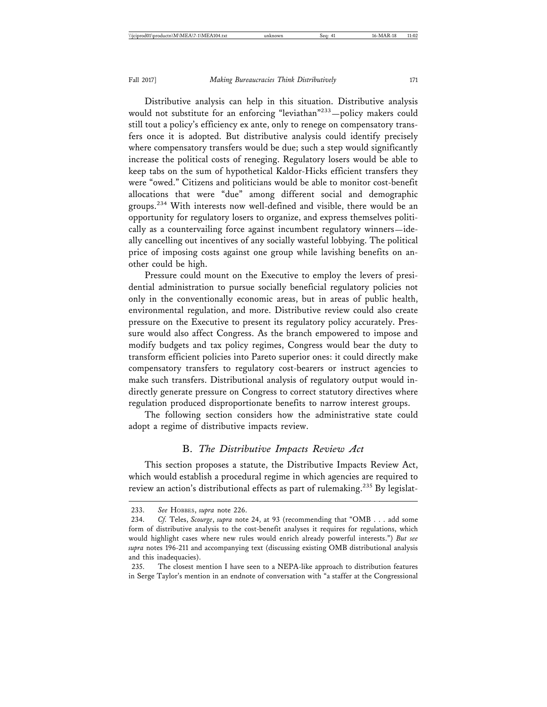Distributive analysis can help in this situation. Distributive analysis would not substitute for an enforcing "leviathan"233—policy makers could still tout a policy's efficiency ex ante, only to renege on compensatory transfers once it is adopted. But distributive analysis could identify precisely where compensatory transfers would be due; such a step would significantly increase the political costs of reneging. Regulatory losers would be able to keep tabs on the sum of hypothetical Kaldor-Hicks efficient transfers they were "owed." Citizens and politicians would be able to monitor cost-benefit allocations that were "due" among different social and demographic groups.<sup>234</sup> With interests now well-defined and visible, there would be an opportunity for regulatory losers to organize, and express themselves politically as a countervailing force against incumbent regulatory winners—ideally cancelling out incentives of any socially wasteful lobbying. The political price of imposing costs against one group while lavishing benefits on another could be high.

Pressure could mount on the Executive to employ the levers of presidential administration to pursue socially beneficial regulatory policies not only in the conventionally economic areas, but in areas of public health, environmental regulation, and more. Distributive review could also create pressure on the Executive to present its regulatory policy accurately. Pressure would also affect Congress. As the branch empowered to impose and modify budgets and tax policy regimes, Congress would bear the duty to transform efficient policies into Pareto superior ones: it could directly make compensatory transfers to regulatory cost-bearers or instruct agencies to make such transfers. Distributional analysis of regulatory output would indirectly generate pressure on Congress to correct statutory directives where regulation produced disproportionate benefits to narrow interest groups.

The following section considers how the administrative state could adopt a regime of distributive impacts review.

#### B. *The Distributive Impacts Review Act*

This section proposes a statute, the Distributive Impacts Review Act, which would establish a procedural regime in which agencies are required to review an action's distributional effects as part of rulemaking.<sup>235</sup> By legislat-

<sup>233.</sup> *See* HOBBES, *supra* note 226.

<sup>234.</sup> *Cf.* Teles, *Scourge*, *supra* note 24, at 93 (recommending that "OMB . . . add some form of distributive analysis to the cost-benefit analyses it requires for regulations, which would highlight cases where new rules would enrich already powerful interests.") *But see supra* notes 196-211 and accompanying text (discussing existing OMB distributional analysis and this inadequacies).

<sup>235.</sup> The closest mention I have seen to a NEPA-like approach to distribution features in Serge Taylor's mention in an endnote of conversation with "a staffer at the Congressional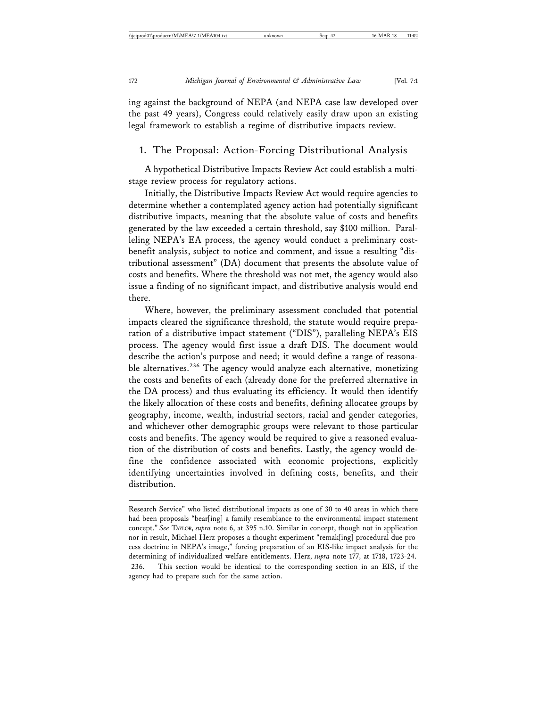ing against the background of NEPA (and NEPA case law developed over the past 49 years), Congress could relatively easily draw upon an existing legal framework to establish a regime of distributive impacts review.

#### 1. The Proposal: Action-Forcing Distributional Analysis

A hypothetical Distributive Impacts Review Act could establish a multistage review process for regulatory actions.

Initially, the Distributive Impacts Review Act would require agencies to determine whether a contemplated agency action had potentially significant distributive impacts, meaning that the absolute value of costs and benefits generated by the law exceeded a certain threshold, say \$100 million. Paralleling NEPA's EA process, the agency would conduct a preliminary costbenefit analysis, subject to notice and comment, and issue a resulting "distributional assessment" (DA) document that presents the absolute value of costs and benefits. Where the threshold was not met, the agency would also issue a finding of no significant impact, and distributive analysis would end there.

Where, however, the preliminary assessment concluded that potential impacts cleared the significance threshold, the statute would require preparation of a distributive impact statement ("DIS"), paralleling NEPA's EIS process. The agency would first issue a draft DIS. The document would describe the action's purpose and need; it would define a range of reasonable alternatives.<sup>236</sup> The agency would analyze each alternative, monetizing the costs and benefits of each (already done for the preferred alternative in the DA process) and thus evaluating its efficiency. It would then identify the likely allocation of these costs and benefits, defining allocatee groups by geography, income, wealth, industrial sectors, racial and gender categories, and whichever other demographic groups were relevant to those particular costs and benefits. The agency would be required to give a reasoned evaluation of the distribution of costs and benefits. Lastly, the agency would define the confidence associated with economic projections, explicitly identifying uncertainties involved in defining costs, benefits, and their distribution.

Research Service" who listed distributional impacts as one of 30 to 40 areas in which there had been proposals "bear[ing] a family resemblance to the environmental impact statement concept." *See* TAYLOR, *supra* note 6, at 395 n.10. Similar in concept, though not in application nor in result, Michael Herz proposes a thought experiment "remak[ing] procedural due process doctrine in NEPA's image," forcing preparation of an EIS-like impact analysis for the determining of individualized welfare entitlements. Herz, *supra* note 177, at 1718, 1723-24. 236. This section would be identical to the corresponding section in an EIS, if the agency had to prepare such for the same action.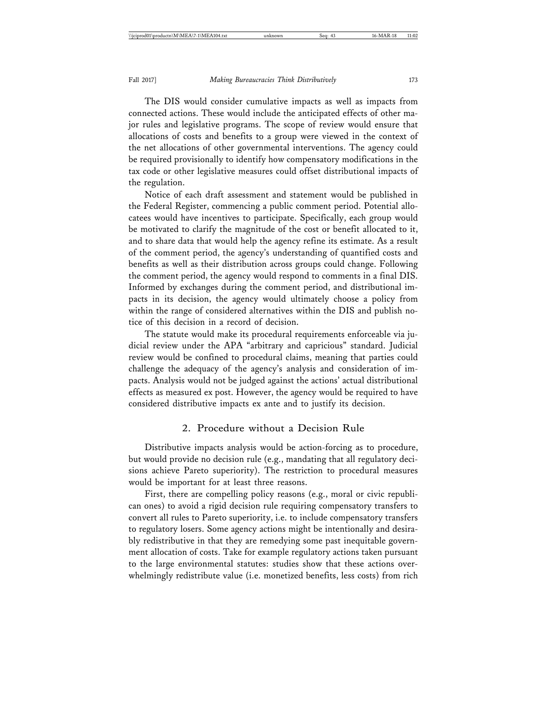The DIS would consider cumulative impacts as well as impacts from connected actions. These would include the anticipated effects of other major rules and legislative programs. The scope of review would ensure that allocations of costs and benefits to a group were viewed in the context of the net allocations of other governmental interventions. The agency could be required provisionally to identify how compensatory modifications in the tax code or other legislative measures could offset distributional impacts of the regulation.

Notice of each draft assessment and statement would be published in the Federal Register, commencing a public comment period. Potential allocatees would have incentives to participate. Specifically, each group would be motivated to clarify the magnitude of the cost or benefit allocated to it, and to share data that would help the agency refine its estimate. As a result of the comment period, the agency's understanding of quantified costs and benefits as well as their distribution across groups could change. Following the comment period, the agency would respond to comments in a final DIS. Informed by exchanges during the comment period, and distributional impacts in its decision, the agency would ultimately choose a policy from within the range of considered alternatives within the DIS and publish notice of this decision in a record of decision.

The statute would make its procedural requirements enforceable via judicial review under the APA "arbitrary and capricious" standard. Judicial review would be confined to procedural claims, meaning that parties could challenge the adequacy of the agency's analysis and consideration of impacts. Analysis would not be judged against the actions' actual distributional effects as measured ex post. However, the agency would be required to have considered distributive impacts ex ante and to justify its decision.

#### 2. Procedure without a Decision Rule

Distributive impacts analysis would be action-forcing as to procedure, but would provide no decision rule (e.g., mandating that all regulatory decisions achieve Pareto superiority). The restriction to procedural measures would be important for at least three reasons.

First, there are compelling policy reasons (e.g., moral or civic republican ones) to avoid a rigid decision rule requiring compensatory transfers to convert all rules to Pareto superiority, i.e. to include compensatory transfers to regulatory losers. Some agency actions might be intentionally and desirably redistributive in that they are remedying some past inequitable government allocation of costs. Take for example regulatory actions taken pursuant to the large environmental statutes: studies show that these actions overwhelmingly redistribute value (i.e. monetized benefits, less costs) from rich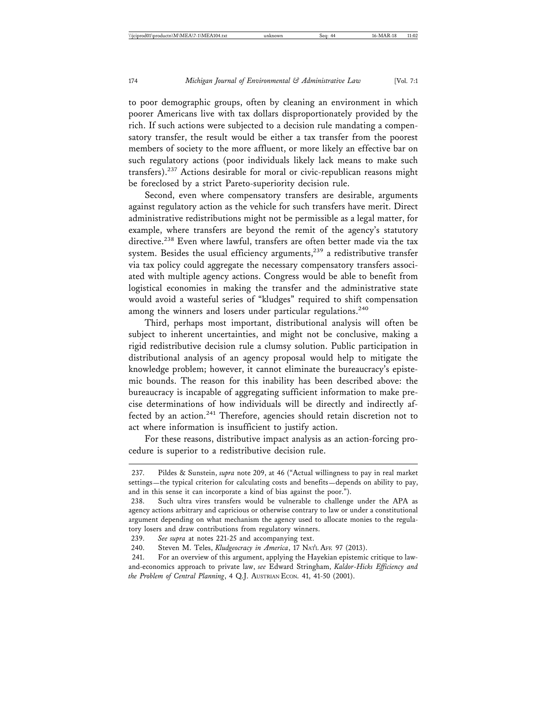to poor demographic groups, often by cleaning an environment in which poorer Americans live with tax dollars disproportionately provided by the rich. If such actions were subjected to a decision rule mandating a compensatory transfer, the result would be either a tax transfer from the poorest members of society to the more affluent, or more likely an effective bar on such regulatory actions (poor individuals likely lack means to make such transfers).<sup>237</sup> Actions desirable for moral or civic-republican reasons might be foreclosed by a strict Pareto-superiority decision rule.

Second, even where compensatory transfers are desirable, arguments against regulatory action as the vehicle for such transfers have merit. Direct administrative redistributions might not be permissible as a legal matter, for example, where transfers are beyond the remit of the agency's statutory directive.<sup>238</sup> Even where lawful, transfers are often better made via the tax system. Besides the usual efficiency arguments,<sup>239</sup> a redistributive transfer via tax policy could aggregate the necessary compensatory transfers associated with multiple agency actions. Congress would be able to benefit from logistical economies in making the transfer and the administrative state would avoid a wasteful series of "kludges" required to shift compensation among the winners and losers under particular regulations.<sup>240</sup>

Third, perhaps most important, distributional analysis will often be subject to inherent uncertainties, and might not be conclusive, making a rigid redistributive decision rule a clumsy solution. Public participation in distributional analysis of an agency proposal would help to mitigate the knowledge problem; however, it cannot eliminate the bureaucracy's epistemic bounds. The reason for this inability has been described above: the bureaucracy is incapable of aggregating sufficient information to make precise determinations of how individuals will be directly and indirectly affected by an action.<sup>241</sup> Therefore, agencies should retain discretion not to act where information is insufficient to justify action.

For these reasons, distributive impact analysis as an action-forcing procedure is superior to a redistributive decision rule.

<sup>237.</sup> Pildes & Sunstein, *supra* note 209, at 46 ("Actual willingness to pay in real market settings—the typical criterion for calculating costs and benefits—depends on ability to pay, and in this sense it can incorporate a kind of bias against the poor.").

<sup>238.</sup> Such ultra vires transfers would be vulnerable to challenge under the APA as agency actions arbitrary and capricious or otherwise contrary to law or under a constitutional argument depending on what mechanism the agency used to allocate monies to the regulatory losers and draw contributions from regulatory winners.

<sup>239.</sup> *See supra* at notes 221-25 and accompanying text.

<sup>240.</sup> Steven M. Teles, *Kludgeocracy in America*, 17 NAT'L AFF. 97 (2013).

<sup>241.</sup> For an overview of this argument, applying the Hayekian epistemic critique to lawand-economics approach to private law, *see* Edward Stringham, *Kaldor-Hicks Efficiency and the Problem of Central Planning*, 4 Q.J. AUSTRIAN ECON. 41, 41-50 (2001).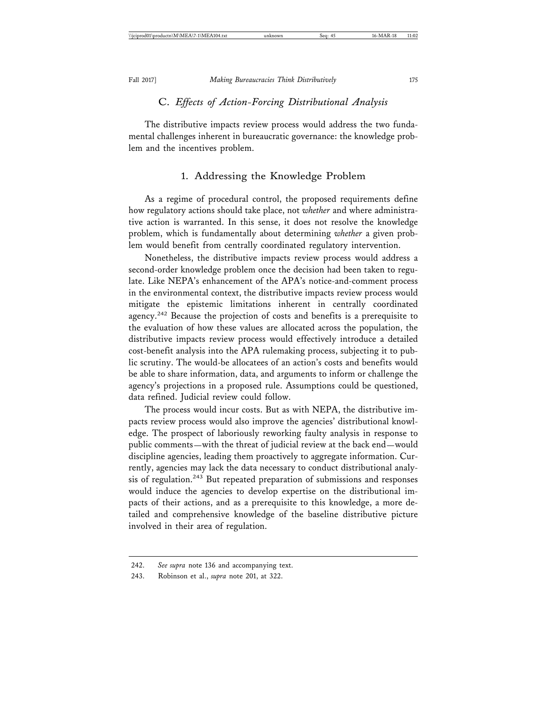#### C. *Effects of Action-Forcing Distributional Analysis*

The distributive impacts review process would address the two fundamental challenges inherent in bureaucratic governance: the knowledge problem and the incentives problem.

#### 1. Addressing the Knowledge Problem

As a regime of procedural control, the proposed requirements define how regulatory actions should take place, not *whether* and where administrative action is warranted. In this sense, it does not resolve the knowledge problem, which is fundamentally about determining *whether* a given problem would benefit from centrally coordinated regulatory intervention.

Nonetheless, the distributive impacts review process would address a second-order knowledge problem once the decision had been taken to regulate. Like NEPA's enhancement of the APA's notice-and-comment process in the environmental context, the distributive impacts review process would mitigate the epistemic limitations inherent in centrally coordinated agency.<sup>242</sup> Because the projection of costs and benefits is a prerequisite to the evaluation of how these values are allocated across the population, the distributive impacts review process would effectively introduce a detailed cost-benefit analysis into the APA rulemaking process, subjecting it to public scrutiny. The would-be allocatees of an action's costs and benefits would be able to share information, data, and arguments to inform or challenge the agency's projections in a proposed rule. Assumptions could be questioned, data refined. Judicial review could follow.

The process would incur costs. But as with NEPA, the distributive impacts review process would also improve the agencies' distributional knowledge. The prospect of laboriously reworking faulty analysis in response to public comments—with the threat of judicial review at the back end—would discipline agencies, leading them proactively to aggregate information. Currently, agencies may lack the data necessary to conduct distributional analysis of regulation.<sup>243</sup> But repeated preparation of submissions and responses would induce the agencies to develop expertise on the distributional impacts of their actions, and as a prerequisite to this knowledge, a more detailed and comprehensive knowledge of the baseline distributive picture involved in their area of regulation.

<sup>242.</sup> *See supra* note 136 and accompanying text.

<sup>243.</sup> Robinson et al., *supra* note 201, at 322.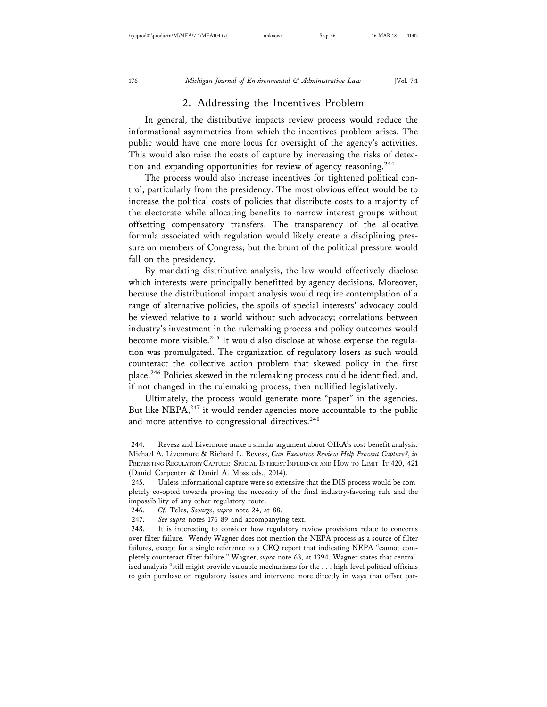# 2. Addressing the Incentives Problem

In general, the distributive impacts review process would reduce the informational asymmetries from which the incentives problem arises. The public would have one more locus for oversight of the agency's activities. This would also raise the costs of capture by increasing the risks of detection and expanding opportunities for review of agency reasoning.<sup>244</sup>

The process would also increase incentives for tightened political control, particularly from the presidency. The most obvious effect would be to increase the political costs of policies that distribute costs to a majority of the electorate while allocating benefits to narrow interest groups without offsetting compensatory transfers. The transparency of the allocative formula associated with regulation would likely create a disciplining pressure on members of Congress; but the brunt of the political pressure would fall on the presidency.

By mandating distributive analysis, the law would effectively disclose which interests were principally benefitted by agency decisions. Moreover, because the distributional impact analysis would require contemplation of a range of alternative policies, the spoils of special interests' advocacy could be viewed relative to a world without such advocacy; correlations between industry's investment in the rulemaking process and policy outcomes would become more visible.<sup>245</sup> It would also disclose at whose expense the regulation was promulgated. The organization of regulatory losers as such would counteract the collective action problem that skewed policy in the first place.246 Policies skewed in the rulemaking process could be identified, and, if not changed in the rulemaking process, then nullified legislatively.

Ultimately, the process would generate more "paper" in the agencies. But like NEPA, $247$  it would render agencies more accountable to the public and more attentive to congressional directives.<sup>248</sup>

<sup>244.</sup> Revesz and Livermore make a similar argument about OIRA's cost-benefit analysis. Michael A. Livermore & Richard L. Revesz, *Can Executive Review Help Prevent Capture?*, *in* PREVENTING REGULATORY CAPTURE: SPECIAL INTEREST INFLUENCE AND HOW TO LIMIT IT 420, 421 (Daniel Carpenter & Daniel A. Moss eds., 2014).

<sup>245.</sup> Unless informational capture were so extensive that the DIS process would be completely co-opted towards proving the necessity of the final industry-favoring rule and the impossibility of any other regulatory route.

<sup>246.</sup> *Cf.* Teles, *Scourge*, *supra* note 24, at 88.

<sup>247.</sup> *See supra* notes 176-89 and accompanying text.

<sup>248.</sup> It is interesting to consider how regulatory review provisions relate to concerns over filter failure. Wendy Wagner does not mention the NEPA process as a source of filter failures, except for a single reference to a CEQ report that indicating NEPA "cannot completely counteract filter failure." Wagner, *supra* note 63, at 1394. Wagner states that centralized analysis "still might provide valuable mechanisms for the . . . high-level political officials to gain purchase on regulatory issues and intervene more directly in ways that offset par-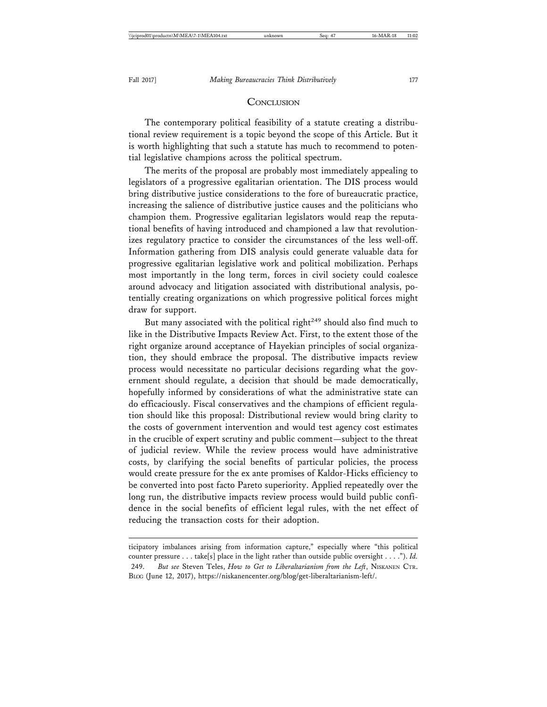#### **CONCLUSION**

The contemporary political feasibility of a statute creating a distributional review requirement is a topic beyond the scope of this Article. But it is worth highlighting that such a statute has much to recommend to potential legislative champions across the political spectrum.

The merits of the proposal are probably most immediately appealing to legislators of a progressive egalitarian orientation. The DIS process would bring distributive justice considerations to the fore of bureaucratic practice, increasing the salience of distributive justice causes and the politicians who champion them. Progressive egalitarian legislators would reap the reputational benefits of having introduced and championed a law that revolutionizes regulatory practice to consider the circumstances of the less well-off. Information gathering from DIS analysis could generate valuable data for progressive egalitarian legislative work and political mobilization. Perhaps most importantly in the long term, forces in civil society could coalesce around advocacy and litigation associated with distributional analysis, potentially creating organizations on which progressive political forces might draw for support.

But many associated with the political right<sup> $249$ </sup> should also find much to like in the Distributive Impacts Review Act. First, to the extent those of the right organize around acceptance of Hayekian principles of social organization, they should embrace the proposal. The distributive impacts review process would necessitate no particular decisions regarding what the government should regulate, a decision that should be made democratically, hopefully informed by considerations of what the administrative state can do efficaciously. Fiscal conservatives and the champions of efficient regulation should like this proposal: Distributional review would bring clarity to the costs of government intervention and would test agency cost estimates in the crucible of expert scrutiny and public comment—subject to the threat of judicial review. While the review process would have administrative costs, by clarifying the social benefits of particular policies, the process would create pressure for the ex ante promises of Kaldor-Hicks efficiency to be converted into post facto Pareto superiority. Applied repeatedly over the long run, the distributive impacts review process would build public confidence in the social benefits of efficient legal rules, with the net effect of reducing the transaction costs for their adoption.

ticipatory imbalances arising from information capture," especially where "this political counter pressure . . . take[s] place in the light rather than outside public oversight . . . ."). *Id.* 249. *But see* Steven Teles, *How to Get to Liberaltarianism from the Left*, NISKANEN CTR. BLOG (June 12, 2017), https://niskanencenter.org/blog/get-liberaltarianism-left/.